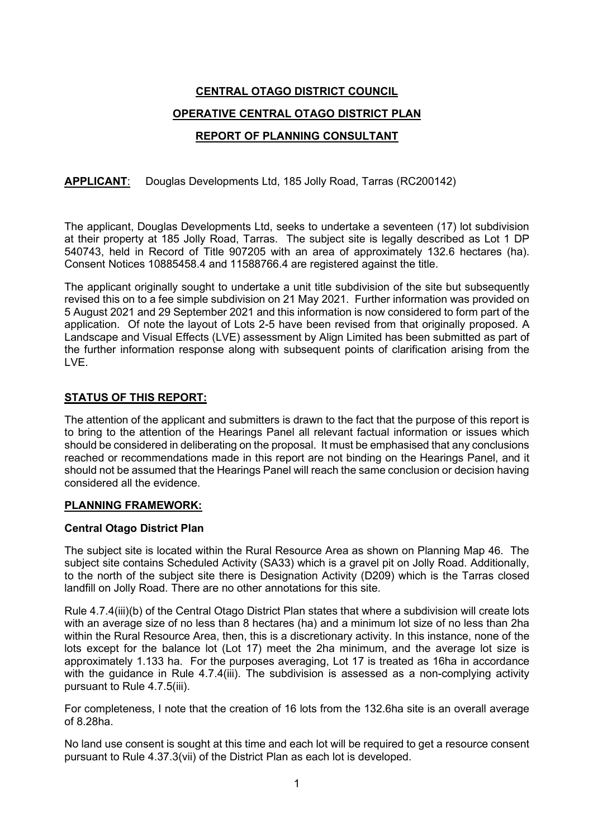# **CENTRAL OTAGO DISTRICT COUNCIL OPERATIVE CENTRAL OTAGO DISTRICT PLAN REPORT OF PLANNING CONSULTANT**

# **APPLICANT**: Douglas Developments Ltd, 185 Jolly Road, Tarras (RC200142)

The applicant, Douglas Developments Ltd, seeks to undertake a seventeen (17) lot subdivision at their property at 185 Jolly Road, Tarras. The subject site is legally described as Lot 1 DP 540743, held in Record of Title 907205 with an area of approximately 132.6 hectares (ha). Consent Notices 10885458.4 and 11588766.4 are registered against the title.

The applicant originally sought to undertake a unit title subdivision of the site but subsequently revised this on to a fee simple subdivision on 21 May 2021. Further information was provided on 5 August 2021 and 29 September 2021 and this information is now considered to form part of the application. Of note the layout of Lots 2-5 have been revised from that originally proposed. A Landscape and Visual Effects (LVE) assessment by Align Limited has been submitted as part of the further information response along with subsequent points of clarification arising from the LVE.

# **STATUS OF THIS REPORT:**

The attention of the applicant and submitters is drawn to the fact that the purpose of this report is to bring to the attention of the Hearings Panel all relevant factual information or issues which should be considered in deliberating on the proposal. It must be emphasised that any conclusions reached or recommendations made in this report are not binding on the Hearings Panel, and it should not be assumed that the Hearings Panel will reach the same conclusion or decision having considered all the evidence.

# **PLANNING FRAMEWORK:**

# **Central Otago District Plan**

The subject site is located within the Rural Resource Area as shown on Planning Map 46. The subject site contains Scheduled Activity (SA33) which is a gravel pit on Jolly Road. Additionally, to the north of the subject site there is Designation Activity (D209) which is the Tarras closed landfill on Jolly Road. There are no other annotations for this site.

Rule 4.7.4(iii)(b) of the Central Otago District Plan states that where a subdivision will create lots with an average size of no less than 8 hectares (ha) and a minimum lot size of no less than 2ha within the Rural Resource Area, then, this is a discretionary activity. In this instance, none of the lots except for the balance lot (Lot 17) meet the 2ha minimum, and the average lot size is approximately 1.133 ha. For the purposes averaging, Lot 17 is treated as 16ha in accordance with the quidance in Rule 4.7.4(iii). The subdivision is assessed as a non-complying activity pursuant to Rule 4.7.5(iii).

For completeness, I note that the creation of 16 lots from the 132.6ha site is an overall average of 8.28ha.

No land use consent is sought at this time and each lot will be required to get a resource consent pursuant to Rule 4.37.3(vii) of the District Plan as each lot is developed.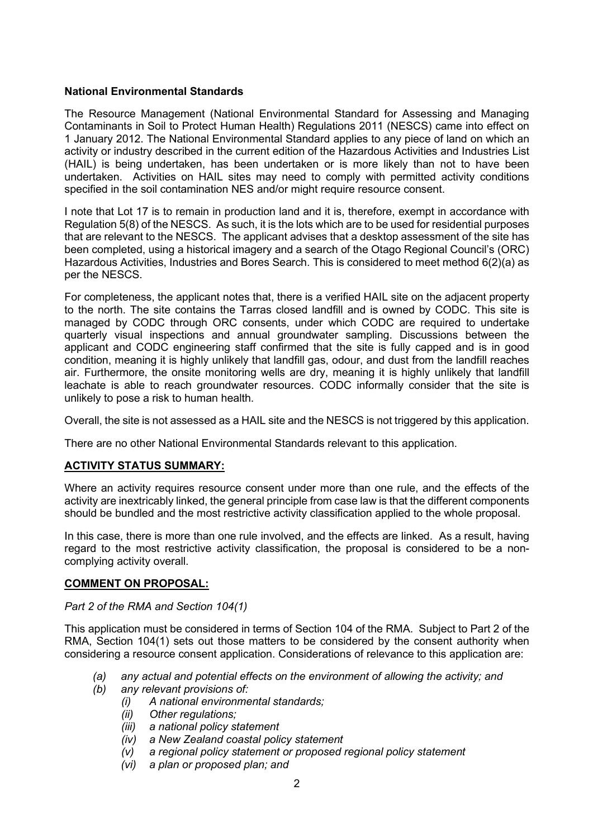# **National Environmental Standards**

The Resource Management (National Environmental Standard for Assessing and Managing Contaminants in Soil to Protect Human Health) Regulations 2011 (NESCS) came into effect on 1 January 2012. The National Environmental Standard applies to any piece of land on which an activity or industry described in the current edition of the Hazardous Activities and Industries List (HAIL) is being undertaken, has been undertaken or is more likely than not to have been undertaken. Activities on HAIL sites may need to comply with permitted activity conditions specified in the soil contamination NES and/or might require resource consent.

I note that Lot 17 is to remain in production land and it is, therefore, exempt in accordance with Regulation 5(8) of the NESCS. As such, it is the lots which are to be used for residential purposes that are relevant to the NESCS. The applicant advises that a desktop assessment of the site has been completed, using a historical imagery and a search of the Otago Regional Council's (ORC) Hazardous Activities, Industries and Bores Search. This is considered to meet method 6(2)(a) as per the NESCS.

For completeness, the applicant notes that, there is a verified HAIL site on the adjacent property to the north. The site contains the Tarras closed landfill and is owned by CODC. This site is managed by CODC through ORC consents, under which CODC are required to undertake quarterly visual inspections and annual groundwater sampling. Discussions between the applicant and CODC engineering staff confirmed that the site is fully capped and is in good condition, meaning it is highly unlikely that landfill gas, odour, and dust from the landfill reaches air. Furthermore, the onsite monitoring wells are dry, meaning it is highly unlikely that landfill leachate is able to reach groundwater resources. CODC informally consider that the site is unlikely to pose a risk to human health.

Overall, the site is not assessed as a HAIL site and the NESCS is not triggered by this application.

There are no other National Environmental Standards relevant to this application.

# **ACTIVITY STATUS SUMMARY:**

Where an activity requires resource consent under more than one rule, and the effects of the activity are inextricably linked, the general principle from case law is that the different components should be bundled and the most restrictive activity classification applied to the whole proposal.

In this case, there is more than one rule involved, and the effects are linked. As a result, having regard to the most restrictive activity classification, the proposal is considered to be a noncomplying activity overall.

# **COMMENT ON PROPOSAL:**

# *Part 2 of the RMA and Section 104(1)*

This application must be considered in terms of Section 104 of the RMA. Subject to Part 2 of the RMA, Section 104(1) sets out those matters to be considered by the consent authority when considering a resource consent application. Considerations of relevance to this application are:

- *(a) any actual and potential effects on the environment of allowing the activity; and*
- *(b) any relevant provisions of:* 
	- *(i) A national environmental standards;*
	- *(ii) Other regulations;*
	- *(iii) a national policy statement*
	- *(iv) a New Zealand coastal policy statement*
	- *(v) a regional policy statement or proposed regional policy statement*
	- *(vi) a plan or proposed plan; and*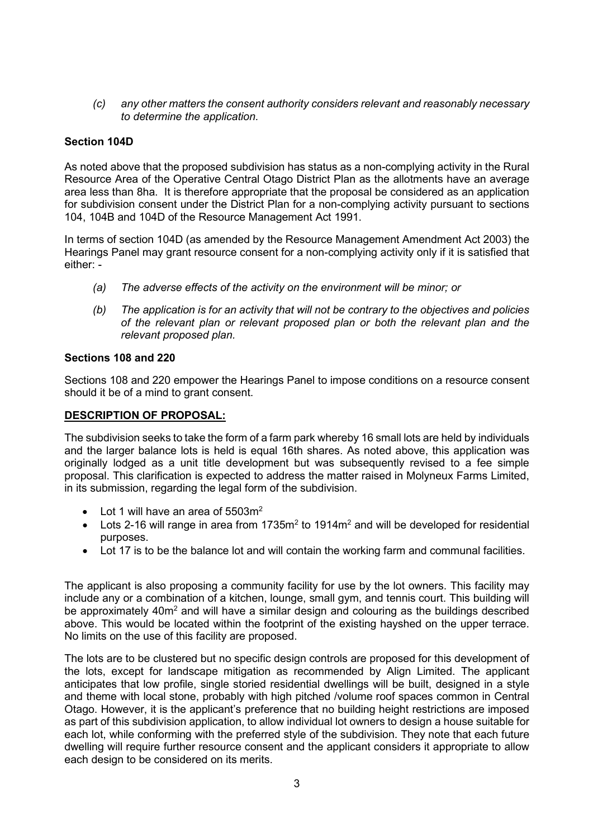*(c) any other matters the consent authority considers relevant and reasonably necessary to determine the application.*

# **Section 104D**

As noted above that the proposed subdivision has status as a non-complying activity in the Rural Resource Area of the Operative Central Otago District Plan as the allotments have an average area less than 8ha. It is therefore appropriate that the proposal be considered as an application for subdivision consent under the District Plan for a non-complying activity pursuant to sections 104, 104B and 104D of the Resource Management Act 1991.

In terms of section 104D (as amended by the Resource Management Amendment Act 2003) the Hearings Panel may grant resource consent for a non-complying activity only if it is satisfied that either: -

- *(a) The adverse effects of the activity on the environment will be minor; or*
- *(b) The application is for an activity that will not be contrary to the objectives and policies of the relevant plan or relevant proposed plan or both the relevant plan and the relevant proposed plan.*

# **Sections 108 and 220**

Sections 108 and 220 empower the Hearings Panel to impose conditions on a resource consent should it be of a mind to grant consent.

# **DESCRIPTION OF PROPOSAL:**

The subdivision seeks to take the form of a farm park whereby 16 small lots are held by individuals and the larger balance lots is held is equal 16th shares. As noted above, this application was originally lodged as a unit title development but was subsequently revised to a fee simple proposal. This clarification is expected to address the matter raised in Molyneux Farms Limited, in its submission, regarding the legal form of the subdivision.

- Lot 1 will have an area of  $5503m<sup>2</sup>$
- Lots 2-16 will range in area from  $1735m^2$  to  $1914m^2$  and will be developed for residential purposes.
- Lot 17 is to be the balance lot and will contain the working farm and communal facilities.

The applicant is also proposing a community facility for use by the lot owners. This facility may include any or a combination of a kitchen, lounge, small gym, and tennis court. This building will be approximately  $40m^2$  and will have a similar design and colouring as the buildings described above. This would be located within the footprint of the existing hayshed on the upper terrace. No limits on the use of this facility are proposed.

The lots are to be clustered but no specific design controls are proposed for this development of the lots, except for landscape mitigation as recommended by Align Limited. The applicant anticipates that low profile, single storied residential dwellings will be built, designed in a style and theme with local stone, probably with high pitched /volume roof spaces common in Central Otago. However, it is the applicant's preference that no building height restrictions are imposed as part of this subdivision application, to allow individual lot owners to design a house suitable for each lot, while conforming with the preferred style of the subdivision. They note that each future dwelling will require further resource consent and the applicant considers it appropriate to allow each design to be considered on its merits.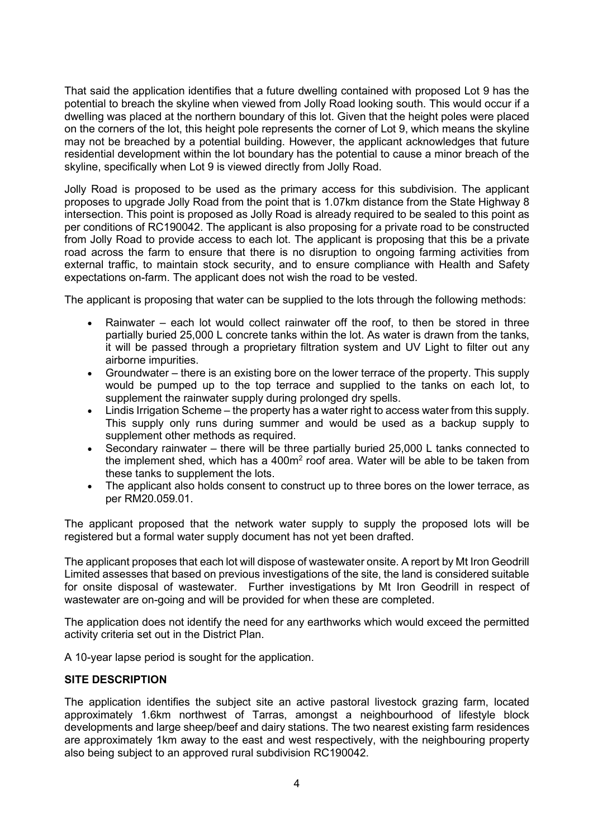That said the application identifies that a future dwelling contained with proposed Lot 9 has the potential to breach the skyline when viewed from Jolly Road looking south. This would occur if a dwelling was placed at the northern boundary of this lot. Given that the height poles were placed on the corners of the lot, this height pole represents the corner of Lot 9, which means the skyline may not be breached by a potential building. However, the applicant acknowledges that future residential development within the lot boundary has the potential to cause a minor breach of the skyline, specifically when Lot 9 is viewed directly from Jolly Road.

Jolly Road is proposed to be used as the primary access for this subdivision. The applicant proposes to upgrade Jolly Road from the point that is 1.07km distance from the State Highway 8 intersection. This point is proposed as Jolly Road is already required to be sealed to this point as per conditions of RC190042. The applicant is also proposing for a private road to be constructed from Jolly Road to provide access to each lot. The applicant is proposing that this be a private road across the farm to ensure that there is no disruption to ongoing farming activities from external traffic, to maintain stock security, and to ensure compliance with Health and Safety expectations on-farm. The applicant does not wish the road to be vested.

The applicant is proposing that water can be supplied to the lots through the following methods:

- Rainwater each lot would collect rainwater off the roof, to then be stored in three partially buried 25,000 L concrete tanks within the lot. As water is drawn from the tanks, it will be passed through a proprietary filtration system and UV Light to filter out any airborne impurities.
- Groundwater there is an existing bore on the lower terrace of the property. This supply would be pumped up to the top terrace and supplied to the tanks on each lot, to supplement the rainwater supply during prolonged dry spells.
- Lindis Irrigation Scheme the property has a water right to access water from this supply. This supply only runs during summer and would be used as a backup supply to supplement other methods as required.
- Secondary rainwater there will be three partially buried 25,000 L tanks connected to the implement shed, which has a  $400m<sup>2</sup>$  roof area. Water will be able to be taken from these tanks to supplement the lots.
- The applicant also holds consent to construct up to three bores on the lower terrace, as per RM20.059.01.

The applicant proposed that the network water supply to supply the proposed lots will be registered but a formal water supply document has not yet been drafted.

The applicant proposes that each lot will dispose of wastewater onsite. A report by Mt Iron Geodrill Limited assesses that based on previous investigations of the site, the land is considered suitable for onsite disposal of wastewater. Further investigations by Mt Iron Geodrill in respect of wastewater are on-going and will be provided for when these are completed.

The application does not identify the need for any earthworks which would exceed the permitted activity criteria set out in the District Plan.

A 10-year lapse period is sought for the application.

# **SITE DESCRIPTION**

The application identifies the subject site an active pastoral livestock grazing farm, located approximately 1.6km northwest of Tarras, amongst a neighbourhood of lifestyle block developments and large sheep/beef and dairy stations. The two nearest existing farm residences are approximately 1km away to the east and west respectively, with the neighbouring property also being subject to an approved rural subdivision RC190042.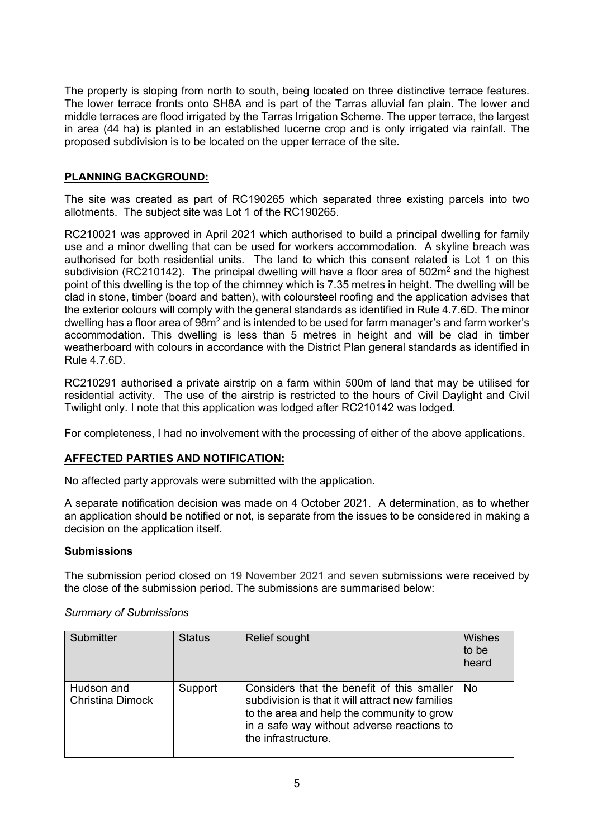The property is sloping from north to south, being located on three distinctive terrace features. The lower terrace fronts onto SH8A and is part of the Tarras alluvial fan plain. The lower and middle terraces are flood irrigated by the Tarras Irrigation Scheme. The upper terrace, the largest in area (44 ha) is planted in an established lucerne crop and is only irrigated via rainfall. The proposed subdivision is to be located on the upper terrace of the site.

# **PLANNING BACKGROUND:**

The site was created as part of RC190265 which separated three existing parcels into two allotments. The subject site was Lot 1 of the RC190265.

RC210021 was approved in April 2021 which authorised to build a principal dwelling for family use and a minor dwelling that can be used for workers accommodation. A skyline breach was authorised for both residential units. The land to which this consent related is Lot 1 on this subdivision (RC210142). The principal dwelling will have a floor area of  $502m<sup>2</sup>$  and the highest point of this dwelling is the top of the chimney which is 7.35 metres in height. The dwelling will be clad in stone, timber (board and batten), with coloursteel roofing and the application advises that the exterior colours will comply with the general standards as identified in Rule 4.7.6D. The minor dwelling has a floor area of  $98m<sup>2</sup>$  and is intended to be used for farm manager's and farm worker's accommodation. This dwelling is less than 5 metres in height and will be clad in timber weatherboard with colours in accordance with the District Plan general standards as identified in Rule 4.7.6D.

RC210291 authorised a private airstrip on a farm within 500m of land that may be utilised for residential activity. The use of the airstrip is restricted to the hours of Civil Daylight and Civil Twilight only. I note that this application was lodged after RC210142 was lodged.

For completeness, I had no involvement with the processing of either of the above applications.

# **AFFECTED PARTIES AND NOTIFICATION:**

No affected party approvals were submitted with the application.

A separate notification decision was made on 4 October 2021. A determination, as to whether an application should be notified or not, is separate from the issues to be considered in making a decision on the application itself.

# **Submissions**

The submission period closed on 19 November 2021 and seven submissions were received by the close of the submission period. The submissions are summarised below:

| Submitter                             | <b>Status</b> | Relief sought                                                                                                                                                                                                     | Wishes<br>to be<br>heard |
|---------------------------------------|---------------|-------------------------------------------------------------------------------------------------------------------------------------------------------------------------------------------------------------------|--------------------------|
| Hudson and<br><b>Christina Dimock</b> | Support       | Considers that the benefit of this smaller<br>subdivision is that it will attract new families<br>to the area and help the community to grow<br>in a safe way without adverse reactions to<br>the infrastructure. | No.                      |

#### *Summary of Submissions*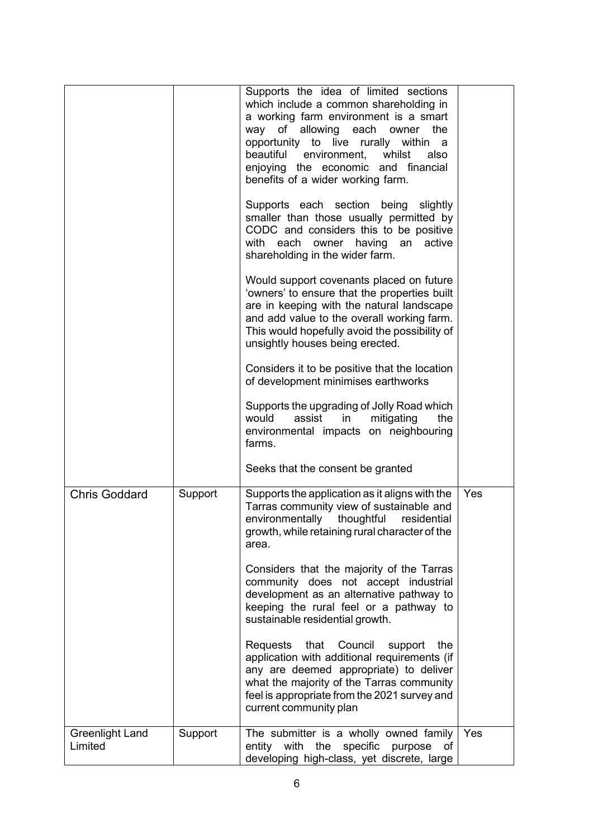|                            |         | Supports the idea of limited sections<br>which include a common shareholding in<br>a working farm environment is a smart<br>of allowing each<br>way<br>owner<br>the<br>opportunity to live rurally within a<br>beautiful environment,<br>whilst<br>also<br>enjoying the economic and financial<br>benefits of a wider working farm.<br>Supports each section being slightly<br>smaller than those usually permitted by<br>CODC and considers this to be positive<br>with<br>each owner<br>having an<br>active<br>shareholding in the wider farm.<br>Would support covenants placed on future<br>'owners' to ensure that the properties built<br>are in keeping with the natural landscape<br>and add value to the overall working farm.<br>This would hopefully avoid the possibility of<br>unsightly houses being erected.<br>Considers it to be positive that the location<br>of development minimises earthworks |            |
|----------------------------|---------|---------------------------------------------------------------------------------------------------------------------------------------------------------------------------------------------------------------------------------------------------------------------------------------------------------------------------------------------------------------------------------------------------------------------------------------------------------------------------------------------------------------------------------------------------------------------------------------------------------------------------------------------------------------------------------------------------------------------------------------------------------------------------------------------------------------------------------------------------------------------------------------------------------------------|------------|
|                            |         | Supports the upgrading of Jolly Road which<br>would<br>assist<br>mitigating<br>the<br>in<br>environmental impacts on neighbouring<br>farms.                                                                                                                                                                                                                                                                                                                                                                                                                                                                                                                                                                                                                                                                                                                                                                         |            |
|                            |         | Seeks that the consent be granted                                                                                                                                                                                                                                                                                                                                                                                                                                                                                                                                                                                                                                                                                                                                                                                                                                                                                   |            |
| <b>Chris Goddard</b>       | Support | Supports the application as it aligns with the<br>Tarras community view of sustainable and<br>environmentally thoughtful<br>residential<br>growth, while retaining rural character of the<br>area.                                                                                                                                                                                                                                                                                                                                                                                                                                                                                                                                                                                                                                                                                                                  | <b>Yes</b> |
|                            |         | Considers that the majority of the Tarras<br>community does not accept industrial<br>development as an alternative pathway to<br>keeping the rural feel or a pathway to<br>sustainable residential growth.                                                                                                                                                                                                                                                                                                                                                                                                                                                                                                                                                                                                                                                                                                          |            |
|                            |         | Requests<br>that Council<br>support the<br>application with additional requirements (if<br>any are deemed appropriate) to deliver<br>what the majority of the Tarras community<br>feel is appropriate from the 2021 survey and<br>current community plan                                                                                                                                                                                                                                                                                                                                                                                                                                                                                                                                                                                                                                                            |            |
| Greenlight Land<br>Limited | Support | The submitter is a wholly owned family<br>entity with the<br>specific purpose<br>of<br>developing high-class, yet discrete, large                                                                                                                                                                                                                                                                                                                                                                                                                                                                                                                                                                                                                                                                                                                                                                                   | Yes        |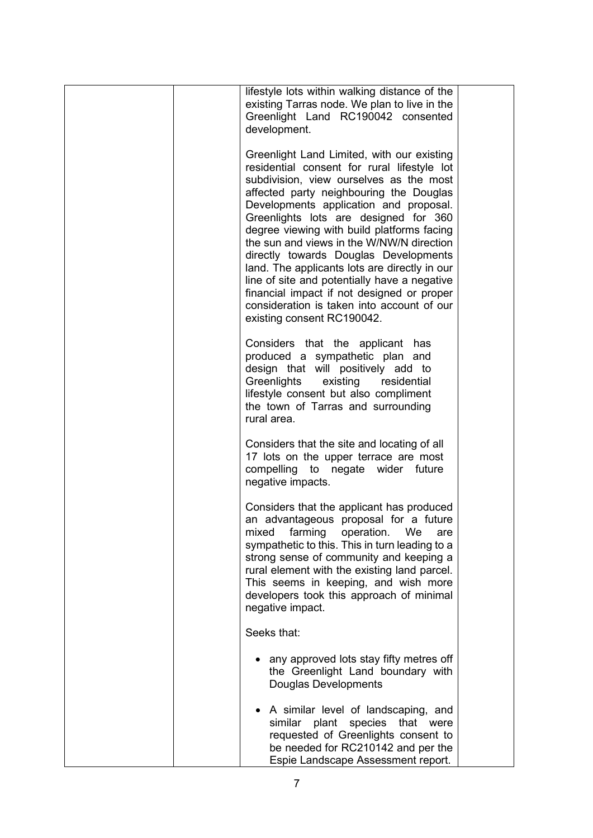| lifestyle lots within walking distance of the<br>existing Tarras node. We plan to live in the<br>Greenlight Land RC190042 consented<br>development.                                                                                                                                                                                                                                                                                                                                                                                                                                                                               |  |
|-----------------------------------------------------------------------------------------------------------------------------------------------------------------------------------------------------------------------------------------------------------------------------------------------------------------------------------------------------------------------------------------------------------------------------------------------------------------------------------------------------------------------------------------------------------------------------------------------------------------------------------|--|
| Greenlight Land Limited, with our existing<br>residential consent for rural lifestyle lot<br>subdivision, view ourselves as the most<br>affected party neighbouring the Douglas<br>Developments application and proposal.<br>Greenlights lots are designed for 360<br>degree viewing with build platforms facing<br>the sun and views in the W/NW/N direction<br>directly towards Douglas Developments<br>land. The applicants lots are directly in our<br>line of site and potentially have a negative<br>financial impact if not designed or proper<br>consideration is taken into account of our<br>existing consent RC190042. |  |
| Considers that the applicant has<br>produced a sympathetic plan and<br>design that will positively add to<br>Greenlights<br>existing<br>residential<br>lifestyle consent but also compliment<br>the town of Tarras and surrounding<br>rural area.                                                                                                                                                                                                                                                                                                                                                                                 |  |
| Considers that the site and locating of all<br>17 lots on the upper terrace are most<br>compelling to negate wider future<br>negative impacts.                                                                                                                                                                                                                                                                                                                                                                                                                                                                                    |  |
| Considers that the applicant has produced<br>an advantageous proposal for a future<br>farming<br>operation.<br>We<br>mixed<br>are<br>sympathetic to this. This in turn leading to a<br>strong sense of community and keeping a<br>rural element with the existing land parcel.<br>This seems in keeping, and wish more<br>developers took this approach of minimal<br>negative impact.                                                                                                                                                                                                                                            |  |
| Seeks that:                                                                                                                                                                                                                                                                                                                                                                                                                                                                                                                                                                                                                       |  |
| any approved lots stay fifty metres off<br>the Greenlight Land boundary with<br><b>Douglas Developments</b>                                                                                                                                                                                                                                                                                                                                                                                                                                                                                                                       |  |
| • A similar level of landscaping, and<br>similar plant<br>species<br>that were<br>requested of Greenlights consent to<br>be needed for RC210142 and per the<br>Espie Landscape Assessment report.                                                                                                                                                                                                                                                                                                                                                                                                                                 |  |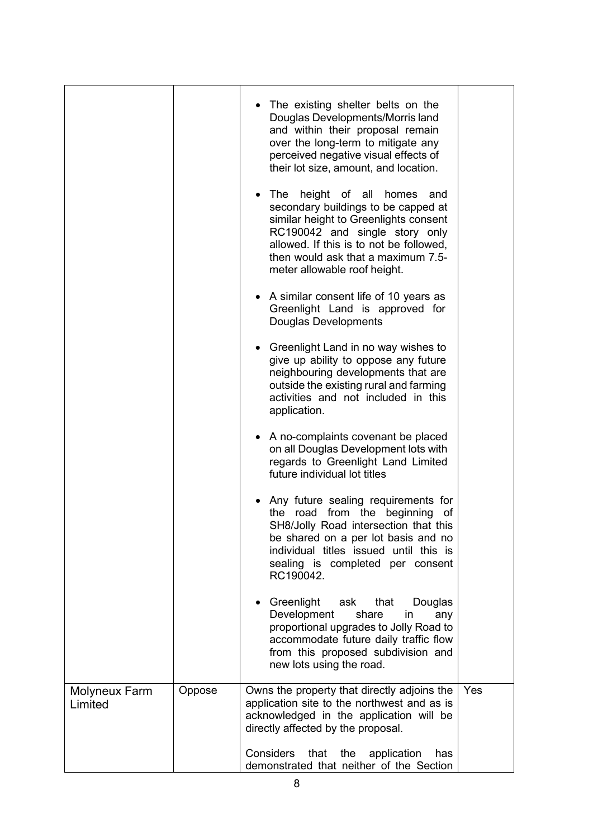|                          |        | • The existing shelter belts on the<br>Douglas Developments/Morris land<br>and within their proposal remain<br>over the long-term to mitigate any<br>perceived negative visual effects of<br>their lot size, amount, and location.<br>• The height of all homes<br>and<br>secondary buildings to be capped at<br>similar height to Greenlights consent<br>RC190042 and single story only<br>allowed. If this is to not be followed,<br>then would ask that a maximum 7.5-<br>meter allowable roof height. |     |
|--------------------------|--------|-----------------------------------------------------------------------------------------------------------------------------------------------------------------------------------------------------------------------------------------------------------------------------------------------------------------------------------------------------------------------------------------------------------------------------------------------------------------------------------------------------------|-----|
|                          |        | A similar consent life of 10 years as<br>Greenlight Land is approved for<br>Douglas Developments                                                                                                                                                                                                                                                                                                                                                                                                          |     |
|                          |        | • Greenlight Land in no way wishes to<br>give up ability to oppose any future<br>neighbouring developments that are<br>outside the existing rural and farming<br>activities and not included in this<br>application.                                                                                                                                                                                                                                                                                      |     |
|                          |        | • A no-complaints covenant be placed<br>on all Douglas Development lots with<br>regards to Greenlight Land Limited<br>future individual lot titles                                                                                                                                                                                                                                                                                                                                                        |     |
|                          |        | Any future sealing requirements for<br>the road from the beginning<br>of<br>SH8/Jolly Road intersection that this<br>be shared on a per lot basis and no<br>individual titles issued until this is<br>sealing is completed per consent<br>RC190042.                                                                                                                                                                                                                                                       |     |
|                          |        | Greenlight<br>ask<br>that<br>Douglas<br>Development<br>share<br>in<br>any<br>proportional upgrades to Jolly Road to<br>accommodate future daily traffic flow<br>from this proposed subdivision and<br>new lots using the road.                                                                                                                                                                                                                                                                            |     |
| Molyneux Farm<br>Limited | Oppose | Owns the property that directly adjoins the<br>application site to the northwest and as is<br>acknowledged in the application will be<br>directly affected by the proposal.                                                                                                                                                                                                                                                                                                                               | Yes |
|                          |        | <b>Considers</b><br>that<br>the<br>application<br>has<br>demonstrated that neither of the Section                                                                                                                                                                                                                                                                                                                                                                                                         |     |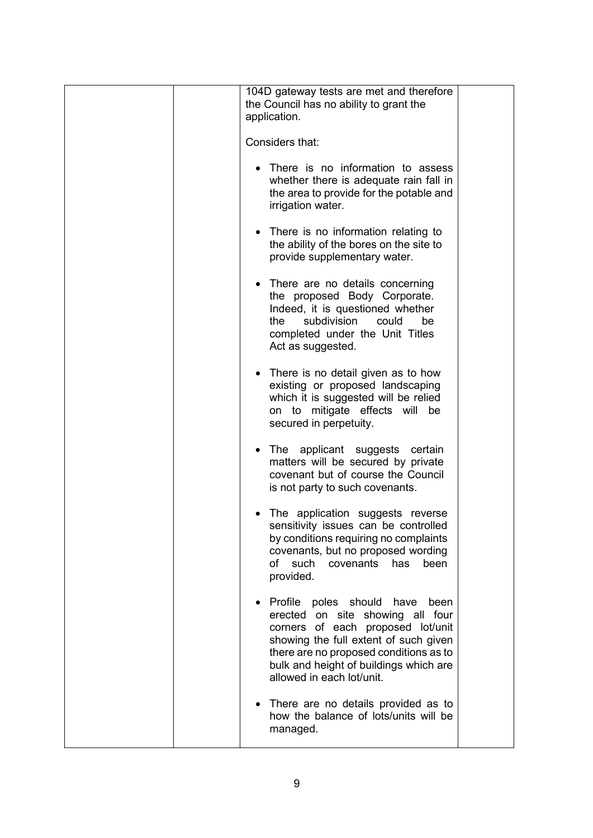| 104D gateway tests are met and therefore<br>the Council has no ability to grant the<br>application.<br>Considers that:                                                                                                                                                  |  |
|-------------------------------------------------------------------------------------------------------------------------------------------------------------------------------------------------------------------------------------------------------------------------|--|
| • There is no information to assess<br>whether there is adequate rain fall in<br>the area to provide for the potable and<br>irrigation water.                                                                                                                           |  |
| • There is no information relating to<br>the ability of the bores on the site to<br>provide supplementary water.                                                                                                                                                        |  |
| There are no details concerning<br>the proposed Body Corporate.<br>Indeed, it is questioned whether<br>subdivision<br>the<br>could<br>be<br>completed under the Unit Titles<br>Act as suggested.                                                                        |  |
| • There is no detail given as to how<br>existing or proposed landscaping<br>which it is suggested will be relied<br>on to mitigate effects will be<br>secured in perpetuity.                                                                                            |  |
| The applicant suggests certain<br>$\bullet$<br>matters will be secured by private<br>covenant but of course the Council<br>is not party to such covenants.                                                                                                              |  |
| The application suggests reverse<br>sensitivity issues can be controlled<br>by conditions requiring no complaints<br>covenants, but no proposed wording<br>such covenants<br>of<br>has<br>been<br>provided.                                                             |  |
| Profile poles should<br>have<br>been<br>erected on site showing all four<br>corners of each proposed lot/unit<br>showing the full extent of such given<br>there are no proposed conditions as to<br>bulk and height of buildings which are<br>allowed in each lot/unit. |  |
| There are no details provided as to<br>how the balance of lots/units will be<br>managed.                                                                                                                                                                                |  |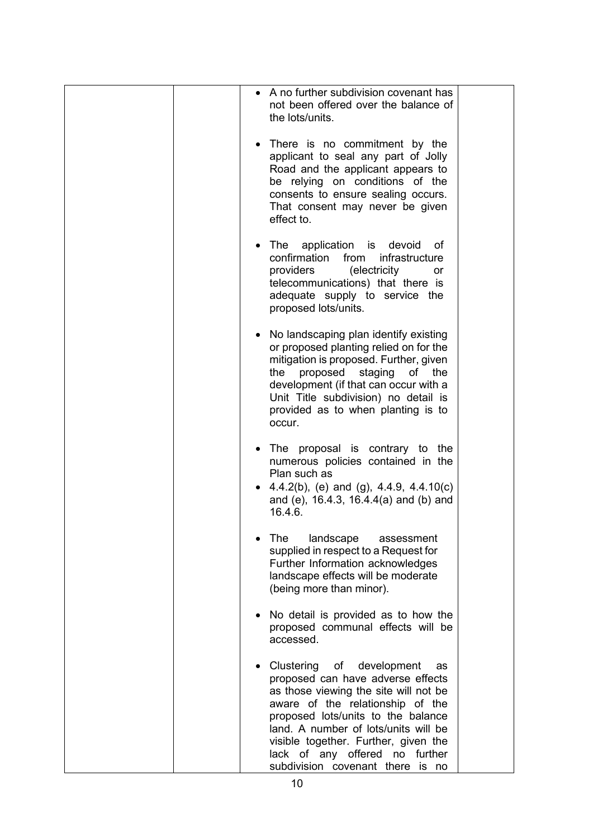|  | • A no further subdivision covenant has<br>not been offered over the balance of<br>the lots/units.                                                                                                                                                                                                                                            |  |
|--|-----------------------------------------------------------------------------------------------------------------------------------------------------------------------------------------------------------------------------------------------------------------------------------------------------------------------------------------------|--|
|  | • There is no commitment by the<br>applicant to seal any part of Jolly<br>Road and the applicant appears to<br>be relying on conditions of the<br>consents to ensure sealing occurs.<br>That consent may never be given<br>effect to.                                                                                                         |  |
|  | • The application is devoid<br>of<br>confirmation<br>from<br>infrastructure<br>providers<br>(electricity<br>or<br>telecommunications) that there is<br>adequate supply to service the<br>proposed lots/units.                                                                                                                                 |  |
|  | No landscaping plan identify existing<br>or proposed planting relied on for the<br>mitigation is proposed. Further, given<br>proposed staging of the<br>the<br>development (if that can occur with a<br>Unit Title subdivision) no detail is<br>provided as to when planting is to<br>occur.                                                  |  |
|  | • The proposal is contrary to the<br>numerous policies contained in the<br>Plan such as<br>• 4.4.2(b), (e) and (g), 4.4.9, 4.4.10(c)<br>and (e), $16.4.3$ , $16.4.4(a)$ and (b) and<br>16.4.6.                                                                                                                                                |  |
|  | landscape<br>The<br>assessment<br>supplied in respect to a Request for<br>Further Information acknowledges<br>landscape effects will be moderate<br>(being more than minor).                                                                                                                                                                  |  |
|  | No detail is provided as to how the<br>proposed communal effects will be<br>accessed.                                                                                                                                                                                                                                                         |  |
|  | Clustering of development<br>as<br>proposed can have adverse effects<br>as those viewing the site will not be<br>aware of the relationship of the<br>proposed lots/units to the balance<br>land. A number of lots/units will be<br>visible together. Further, given the<br>lack of any offered no further<br>subdivision covenant there is no |  |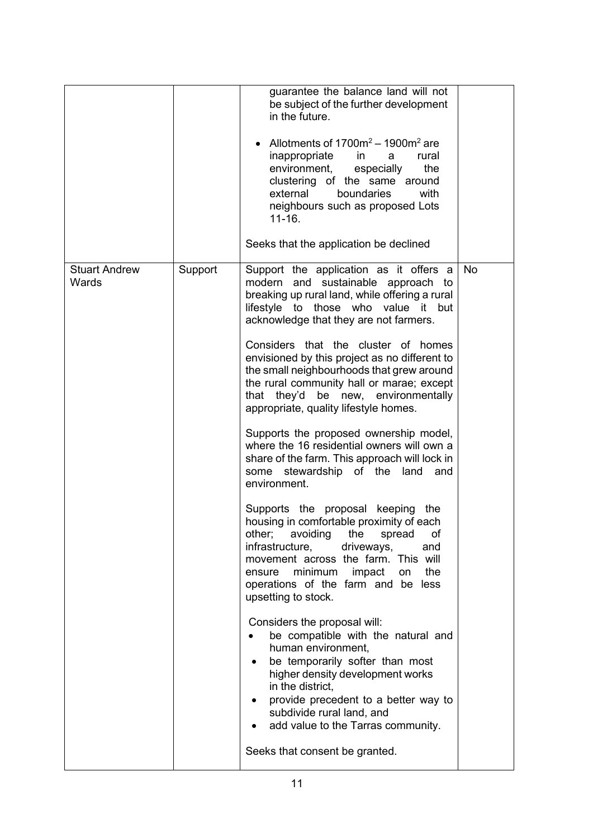|                               |         | guarantee the balance land will not<br>be subject of the further development<br>in the future.<br>Allotments of $1700m^2 - 1900m^2$ are<br>inappropriate<br>rural<br>in<br>a<br>environment,<br>especially<br>the<br>clustering of the same around<br>external<br>boundaries<br>with<br>neighbours such as proposed Lots<br>$11 - 16.$<br>Seeks that the application be declined                                                                                                                                                                                                                                                                                                                                                                                                                                                                                                                                                                                                                                                                                                                                                                                                                                                                                                                                                               |           |
|-------------------------------|---------|------------------------------------------------------------------------------------------------------------------------------------------------------------------------------------------------------------------------------------------------------------------------------------------------------------------------------------------------------------------------------------------------------------------------------------------------------------------------------------------------------------------------------------------------------------------------------------------------------------------------------------------------------------------------------------------------------------------------------------------------------------------------------------------------------------------------------------------------------------------------------------------------------------------------------------------------------------------------------------------------------------------------------------------------------------------------------------------------------------------------------------------------------------------------------------------------------------------------------------------------------------------------------------------------------------------------------------------------|-----------|
| <b>Stuart Andrew</b><br>Wards | Support | Support the application as it offers a<br>modern and sustainable approach to<br>breaking up rural land, while offering a rural<br>lifestyle to those who value it but<br>acknowledge that they are not farmers.<br>Considers that the cluster of homes<br>envisioned by this project as no different to<br>the small neighbourhoods that grew around<br>the rural community hall or marae; except<br>that they'd be new, environmentally<br>appropriate, quality lifestyle homes.<br>Supports the proposed ownership model,<br>where the 16 residential owners will own a<br>share of the farm. This approach will lock in<br>stewardship of the land<br>some<br>and<br>environment.<br>Supports the proposal keeping the<br>housing in comfortable proximity of each<br>other;<br>avoiding<br>the<br>spread<br>οf<br>infrastructure,<br>driveways,<br>and<br>movement across the farm. This will<br>minimum<br>the<br>impact<br>on<br>ensure<br>operations of the farm and be less<br>upsetting to stock.<br>Considers the proposal will:<br>be compatible with the natural and<br>human environment,<br>be temporarily softer than most<br>higher density development works<br>in the district,<br>provide precedent to a better way to<br>subdivide rural land, and<br>add value to the Tarras community.<br>Seeks that consent be granted. | <b>No</b> |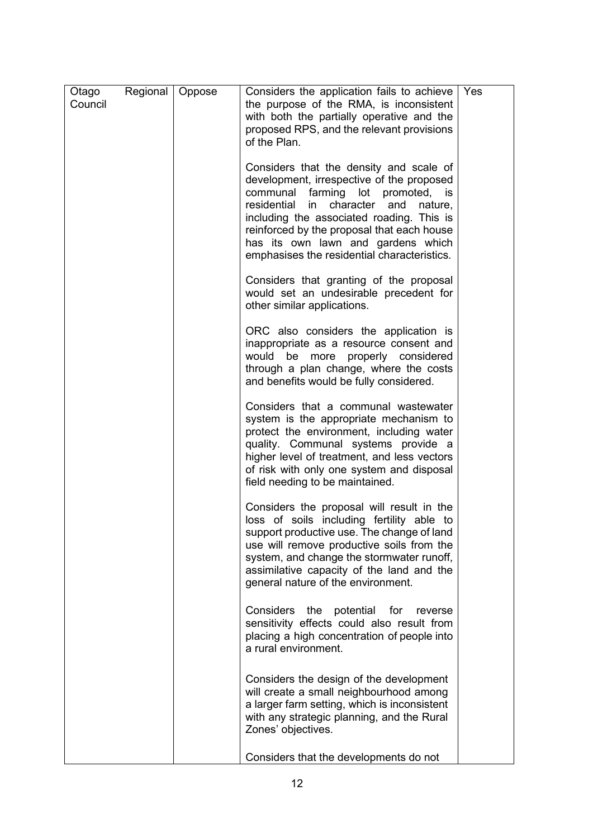| Otago   | Regional | Oppose | Considers the application fails to achieve                                                                                                                                                                                                                                                                                                                                       | Yes |
|---------|----------|--------|----------------------------------------------------------------------------------------------------------------------------------------------------------------------------------------------------------------------------------------------------------------------------------------------------------------------------------------------------------------------------------|-----|
| Council |          |        | the purpose of the RMA, is inconsistent<br>with both the partially operative and the<br>proposed RPS, and the relevant provisions<br>of the Plan.                                                                                                                                                                                                                                |     |
|         |          |        | Considers that the density and scale of<br>development, irrespective of the proposed<br>communal<br>farming<br>lot<br>promoted,<br><b>is</b><br>residential<br>character<br>in<br>and<br>nature,<br>including the associated roading. This is<br>reinforced by the proposal that each house<br>has its own lawn and gardens which<br>emphasises the residential characteristics. |     |
|         |          |        | Considers that granting of the proposal<br>would set an undesirable precedent for<br>other similar applications.                                                                                                                                                                                                                                                                 |     |
|         |          |        | ORC also considers the application is<br>inappropriate as a resource consent and<br>more properly considered<br>would<br>be<br>through a plan change, where the costs<br>and benefits would be fully considered.                                                                                                                                                                 |     |
|         |          |        | Considers that a communal wastewater<br>system is the appropriate mechanism to<br>protect the environment, including water<br>quality. Communal systems provide a<br>higher level of treatment, and less vectors<br>of risk with only one system and disposal<br>field needing to be maintained.                                                                                 |     |
|         |          |        | Considers the proposal will result in the<br>loss of soils including fertility able to<br>support productive use. The change of land<br>use will remove productive soils from the<br>system, and change the stormwater runoff,<br>assimilative capacity of the land and the<br>general nature of the environment.                                                                |     |
|         |          |        | Considers the<br>potential<br>for<br>reverse<br>sensitivity effects could also result from<br>placing a high concentration of people into<br>a rural environment.                                                                                                                                                                                                                |     |
|         |          |        | Considers the design of the development<br>will create a small neighbourhood among<br>a larger farm setting, which is inconsistent<br>with any strategic planning, and the Rural<br>Zones' objectives.                                                                                                                                                                           |     |
|         |          |        | Considers that the developments do not                                                                                                                                                                                                                                                                                                                                           |     |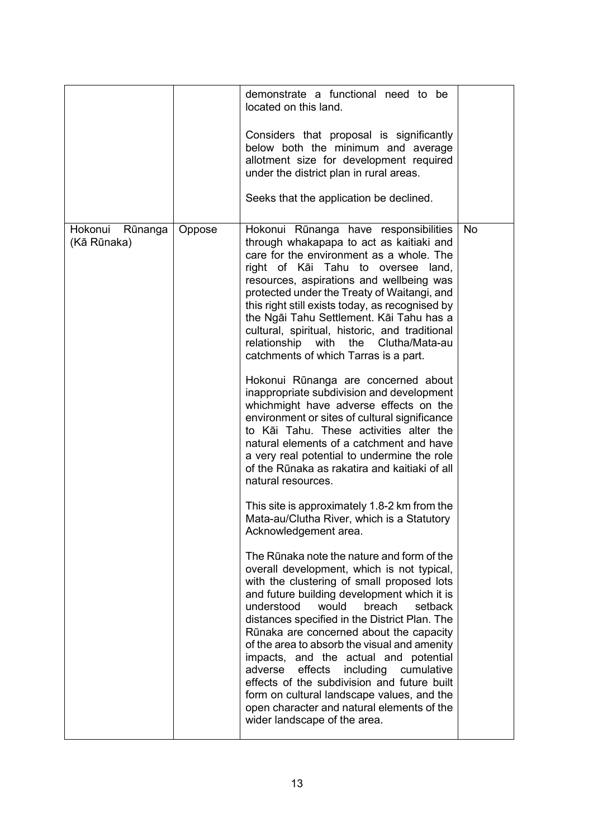|                                   |        | demonstrate a functional need to be<br>located on this land.<br>Considers that proposal is significantly<br>below both the minimum and average<br>allotment size for development required<br>under the district plan in rural areas.<br>Seeks that the application be declined.                                                                                                                                                                                                                                                                                                                                                                                                                                                                                                                                                                                                                                                                                                                                                                                                                                                                                                                                                                                                                                                                                                                                                                                                                                                                                                                                                                                                 |    |
|-----------------------------------|--------|---------------------------------------------------------------------------------------------------------------------------------------------------------------------------------------------------------------------------------------------------------------------------------------------------------------------------------------------------------------------------------------------------------------------------------------------------------------------------------------------------------------------------------------------------------------------------------------------------------------------------------------------------------------------------------------------------------------------------------------------------------------------------------------------------------------------------------------------------------------------------------------------------------------------------------------------------------------------------------------------------------------------------------------------------------------------------------------------------------------------------------------------------------------------------------------------------------------------------------------------------------------------------------------------------------------------------------------------------------------------------------------------------------------------------------------------------------------------------------------------------------------------------------------------------------------------------------------------------------------------------------------------------------------------------------|----|
| Hokonui<br>Rūnanga<br>(Kā Rūnaka) | Oppose | Hokonui Rūnanga have responsibilities<br>through whakapapa to act as kaitiaki and<br>care for the environment as a whole. The<br>right of Kāi Tahu to oversee land,<br>resources, aspirations and wellbeing was<br>protected under the Treaty of Waitangi, and<br>this right still exists today, as recognised by<br>the Ngāi Tahu Settlement. Kāi Tahu has a<br>cultural, spiritual, historic, and traditional<br>relationship with<br>Clutha/Mata-au<br>the<br>catchments of which Tarras is a part.<br>Hokonui Rūnanga are concerned about<br>inappropriate subdivision and development<br>whichmight have adverse effects on the<br>environment or sites of cultural significance<br>to Kāi Tahu. These activities alter the<br>natural elements of a catchment and have<br>a very real potential to undermine the role<br>of the Rūnaka as rakatira and kaitiaki of all<br>natural resources.<br>This site is approximately 1.8-2 km from the<br>Mata-au/Clutha River, which is a Statutory<br>Acknowledgement area.<br>The Rūnaka note the nature and form of the<br>overall development, which is not typical,<br>with the clustering of small proposed lots<br>and future building development which it is<br>understood<br>would<br>breach<br>setback<br>distances specified in the District Plan. The<br>Rūnaka are concerned about the capacity<br>of the area to absorb the visual and amenity<br>impacts, and the actual and potential<br>adverse<br>effects<br>including<br>cumulative<br>effects of the subdivision and future built<br>form on cultural landscape values, and the<br>open character and natural elements of the<br>wider landscape of the area. | No |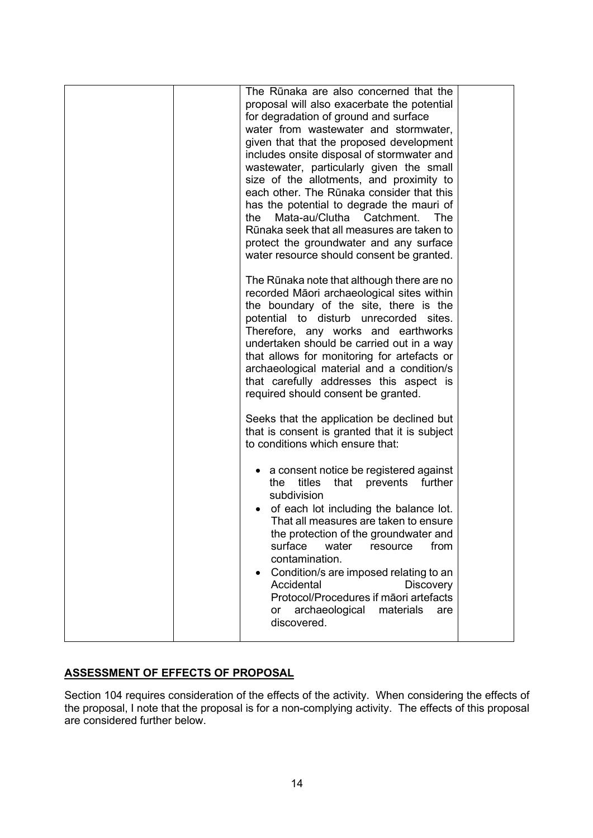| The Rūnaka are also concerned that the<br>proposal will also exacerbate the potential<br>for degradation of ground and surface<br>water from wastewater and stormwater,<br>given that that the proposed development<br>includes onsite disposal of stormwater and<br>wastewater, particularly given the small<br>size of the allotments, and proximity to<br>each other. The Rūnaka consider that this<br>has the potential to degrade the mauri of<br>Mata-au/Clutha Catchment.<br>the<br>The:<br>Rūnaka seek that all measures are taken to<br>protect the groundwater and any surface<br>water resource should consent be granted. |  |
|---------------------------------------------------------------------------------------------------------------------------------------------------------------------------------------------------------------------------------------------------------------------------------------------------------------------------------------------------------------------------------------------------------------------------------------------------------------------------------------------------------------------------------------------------------------------------------------------------------------------------------------|--|
| The Rūnaka note that although there are no<br>recorded Māori archaeological sites within<br>the boundary of the site, there is the<br>potential to disturb unrecorded sites.<br>Therefore, any works and earthworks<br>undertaken should be carried out in a way<br>that allows for monitoring for artefacts or<br>archaeological material and a condition/s<br>that carefully addresses this aspect is<br>required should consent be granted.                                                                                                                                                                                        |  |
| Seeks that the application be declined but<br>that is consent is granted that it is subject<br>to conditions which ensure that:                                                                                                                                                                                                                                                                                                                                                                                                                                                                                                       |  |
| a consent notice be registered against<br>titles<br>that<br>prevents<br>further<br>the<br>subdivision<br>of each lot including the balance lot.<br>That all measures are taken to ensure<br>the protection of the groundwater and<br>surface<br>water<br>from<br>resource<br>contamination.<br>Condition/s are imposed relating to an<br>Accidental<br><b>Discovery</b><br>Protocol/Procedures if māori artefacts<br>archaeological<br>materials<br>are<br><b>or</b><br>discovered.                                                                                                                                                   |  |

# **ASSESSMENT OF EFFECTS OF PROPOSAL**

Section 104 requires consideration of the effects of the activity. When considering the effects of the proposal, I note that the proposal is for a non-complying activity. The effects of this proposal are considered further below.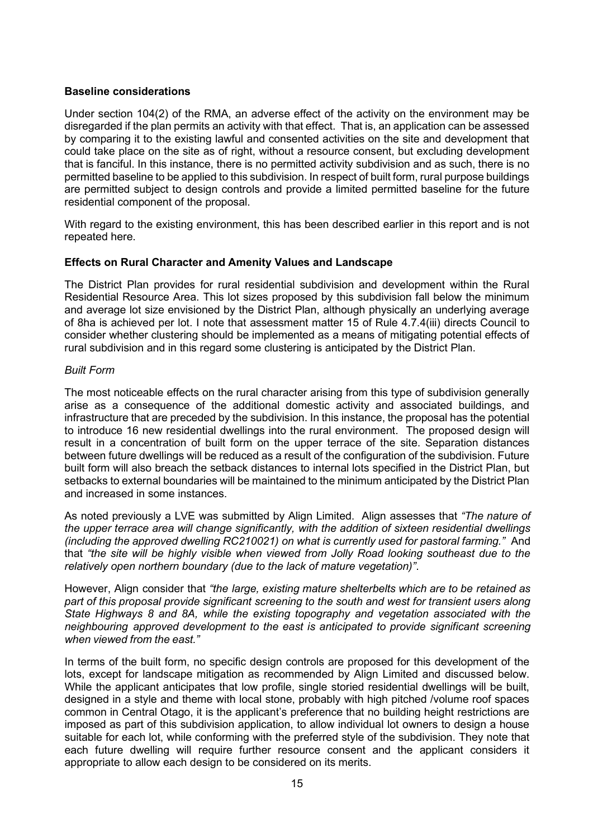# **Baseline considerations**

Under section 104(2) of the RMA, an adverse effect of the activity on the environment may be disregarded if the plan permits an activity with that effect. That is, an application can be assessed by comparing it to the existing lawful and consented activities on the site and development that could take place on the site as of right, without a resource consent, but excluding development that is fanciful. In this instance, there is no permitted activity subdivision and as such, there is no permitted baseline to be applied to this subdivision. In respect of built form, rural purpose buildings are permitted subject to design controls and provide a limited permitted baseline for the future residential component of the proposal.

With regard to the existing environment, this has been described earlier in this report and is not repeated here.

# **Effects on Rural Character and Amenity Values and Landscape**

The District Plan provides for rural residential subdivision and development within the Rural Residential Resource Area. This lot sizes proposed by this subdivision fall below the minimum and average lot size envisioned by the District Plan, although physically an underlying average of 8ha is achieved per lot. I note that assessment matter 15 of Rule 4.7.4(iii) directs Council to consider whether clustering should be implemented as a means of mitigating potential effects of rural subdivision and in this regard some clustering is anticipated by the District Plan.

# *Built Form*

The most noticeable effects on the rural character arising from this type of subdivision generally arise as a consequence of the additional domestic activity and associated buildings, and infrastructure that are preceded by the subdivision. In this instance, the proposal has the potential to introduce 16 new residential dwellings into the rural environment. The proposed design will result in a concentration of built form on the upper terrace of the site. Separation distances between future dwellings will be reduced as a result of the configuration of the subdivision. Future built form will also breach the setback distances to internal lots specified in the District Plan, but setbacks to external boundaries will be maintained to the minimum anticipated by the District Plan and increased in some instances.

As noted previously a LVE was submitted by Align Limited. Align assesses that *"The nature of the upper terrace area will change significantly, with the addition of sixteen residential dwellings (including the approved dwelling RC210021) on what is currently used for pastoral farming."* And that *"the site will be highly visible when viewed from Jolly Road looking southeast due to the relatively open northern boundary (due to the lack of mature vegetation)"*.

However, Align consider that *"the large, existing mature shelterbelts which are to be retained as part of this proposal provide significant screening to the south and west for transient users along State Highways 8 and 8A, while the existing topography and vegetation associated with the neighbouring approved development to the east is anticipated to provide significant screening when viewed from the east."*

In terms of the built form, no specific design controls are proposed for this development of the lots, except for landscape mitigation as recommended by Align Limited and discussed below. While the applicant anticipates that low profile, single storied residential dwellings will be built, designed in a style and theme with local stone, probably with high pitched /volume roof spaces common in Central Otago, it is the applicant's preference that no building height restrictions are imposed as part of this subdivision application, to allow individual lot owners to design a house suitable for each lot, while conforming with the preferred style of the subdivision. They note that each future dwelling will require further resource consent and the applicant considers it appropriate to allow each design to be considered on its merits.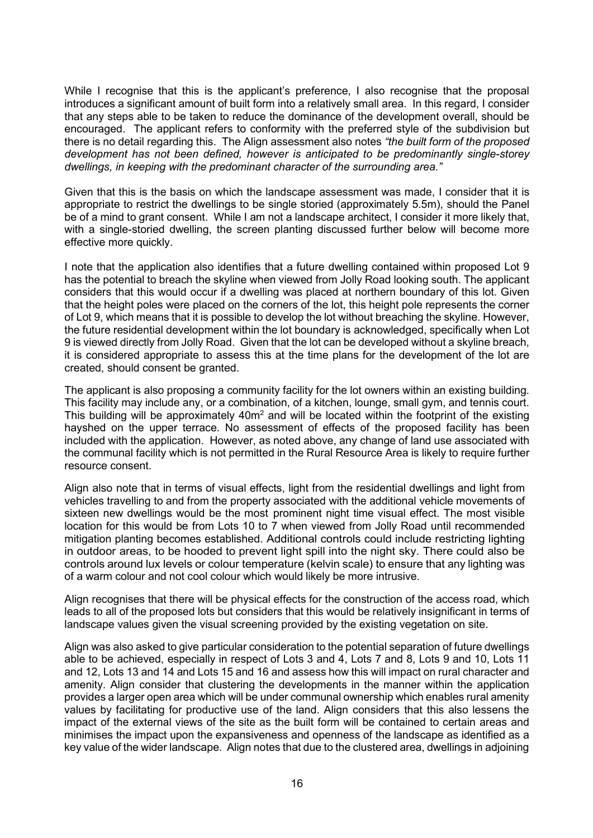While I recognise that this is the applicant's preference, I also recognise that the proposal introduces a significant amount of built form into a relatively small area. In this regard, I consider that any steps able to be taken to reduce the dominance of the development overall, should be encouraged. The applicant refers to conformity with the preferred style of the subdivision but there is no detail regarding this. The Align assessment also notes *"the built form of the proposed development has not been defined, however is anticipated to be predominantly single-storey dwellings, in keeping with the predominant character of the surrounding area."*

Given that this is the basis on which the landscape assessment was made, I consider that it is appropriate to restrict the dwellings to be single storied (approximately 5.5m), should the Panel be of a mind to grant consent. While I am not a landscape architect, I consider it more likely that, with a single-storied dwelling, the screen planting discussed further below will become more effective more quickly.

I note that the application also identifies that a future dwelling contained within proposed Lot 9 has the potential to breach the skyline when viewed from Jolly Road looking south. The applicant considers that this would occur if a dwelling was placed at northern boundary of this lot. Given that the height poles were placed on the corners of the lot, this height pole represents the corner of Lot 9, which means that it is possible to develop the lot without breaching the skyline. However, the future residential development within the lot boundary is acknowledged, specifically when Lot 9 is viewed directly from Jolly Road. Given that the lot can be developed without a skyline breach, it is considered appropriate to assess this at the time plans for the development of the lot are created, should consent be granted.

The applicant is also proposing a community facility for the lot owners within an existing building. This facility may include any, or a combination, of a kitchen, lounge, small gym, and tennis court. This building will be approximately 40m<sup>2</sup> and will be located within the footprint of the existing hayshed on the upper terrace. No assessment of effects of the proposed facility has been included with the application. However, as noted above, any change of land use associated with the communal facility which is not permitted in the Rural Resource Area is likely to require further resource consent.

Align also note that in terms of visual effects, light from the residential dwellings and light from vehicles travelling to and from the property associated with the additional vehicle movements of sixteen new dwellings would be the most prominent night time visual effect. The most visible location for this would be from Lots 10 to 7 when viewed from Jolly Road until recommended mitigation planting becomes established. Additional controls could include restricting lighting in outdoor areas, to be hooded to prevent light spill into the night sky. There could also be controls around lux levels or colour temperature (kelvin scale) to ensure that any lighting was of a warm colour and not cool colour which would likely be more intrusive.

Align recognises that there will be physical effects for the construction of the access road, which leads to all of the proposed lots but considers that this would be relatively insignificant in terms of landscape values given the visual screening provided by the existing vegetation on site.

Align was also asked to give particular consideration to the potential separation of future dwellings able to be achieved, especially in respect of Lots 3 and 4, Lots 7 and 8, Lots 9 and 10, Lots 11 and 12, Lots 13 and 14 and Lots 15 and 16 and assess how this will impact on rural character and amenity. Align consider that clustering the developments in the manner within the application provides a larger open area which will be under communal ownership which enables rural amenity values by facilitating for productive use of the land. Align considers that this also lessens the impact of the external views of the site as the built form will be contained to certain areas and minimises the impact upon the expansiveness and openness of the landscape as identified as a key value of the wider landscape. Align notes that due to the clustered area, dwellings in adjoining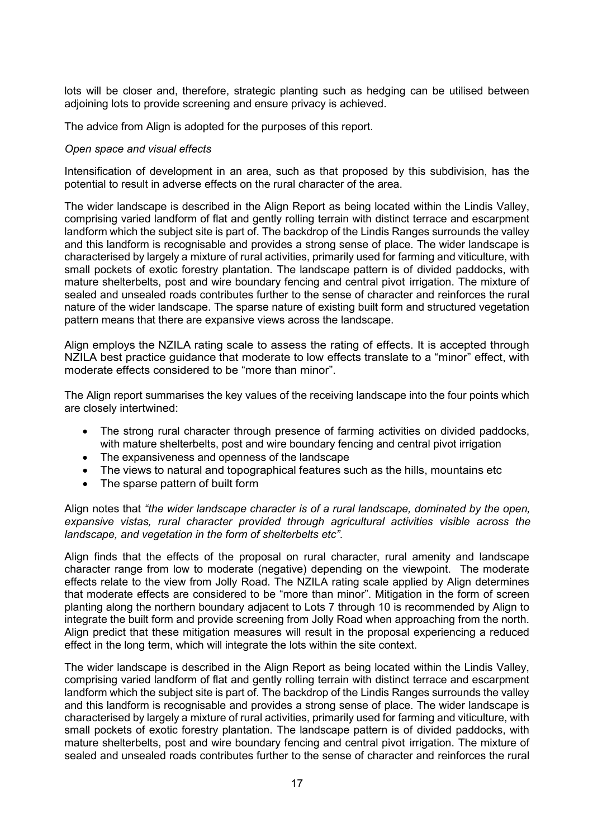lots will be closer and, therefore, strategic planting such as hedging can be utilised between adjoining lots to provide screening and ensure privacy is achieved.

The advice from Align is adopted for the purposes of this report.

### *Open space and visual effects*

Intensification of development in an area, such as that proposed by this subdivision, has the potential to result in adverse effects on the rural character of the area.

The wider landscape is described in the Align Report as being located within the Lindis Valley, comprising varied landform of flat and gently rolling terrain with distinct terrace and escarpment landform which the subject site is part of. The backdrop of the Lindis Ranges surrounds the valley and this landform is recognisable and provides a strong sense of place. The wider landscape is characterised by largely a mixture of rural activities, primarily used for farming and viticulture, with small pockets of exotic forestry plantation. The landscape pattern is of divided paddocks, with mature shelterbelts, post and wire boundary fencing and central pivot irrigation. The mixture of sealed and unsealed roads contributes further to the sense of character and reinforces the rural nature of the wider landscape. The sparse nature of existing built form and structured vegetation pattern means that there are expansive views across the landscape.

Align employs the NZILA rating scale to assess the rating of effects. It is accepted through NZILA best practice quidance that moderate to low effects translate to a "minor" effect, with moderate effects considered to be "more than minor".

The Align report summarises the key values of the receiving landscape into the four points which are closely intertwined:

- The strong rural character through presence of farming activities on divided paddocks, with mature shelterbelts, post and wire boundary fencing and central pivot irrigation
- The expansiveness and openness of the landscape
- The views to natural and topographical features such as the hills, mountains etc
- The sparse pattern of built form

Align notes that *"the wider landscape character is of a rural landscape, dominated by the open, expansive vistas, rural character provided through agricultural activities visible across the landscape, and vegetation in the form of shelterbelts etc"*.

Align finds that the effects of the proposal on rural character, rural amenity and landscape character range from low to moderate (negative) depending on the viewpoint. The moderate effects relate to the view from Jolly Road. The NZILA rating scale applied by Align determines that moderate effects are considered to be "more than minor". Mitigation in the form of screen planting along the northern boundary adjacent to Lots 7 through 10 is recommended by Align to integrate the built form and provide screening from Jolly Road when approaching from the north. Align predict that these mitigation measures will result in the proposal experiencing a reduced effect in the long term, which will integrate the lots within the site context.

The wider landscape is described in the Align Report as being located within the Lindis Valley, comprising varied landform of flat and gently rolling terrain with distinct terrace and escarpment landform which the subject site is part of. The backdrop of the Lindis Ranges surrounds the valley and this landform is recognisable and provides a strong sense of place. The wider landscape is characterised by largely a mixture of rural activities, primarily used for farming and viticulture, with small pockets of exotic forestry plantation. The landscape pattern is of divided paddocks, with mature shelterbelts, post and wire boundary fencing and central pivot irrigation. The mixture of sealed and unsealed roads contributes further to the sense of character and reinforces the rural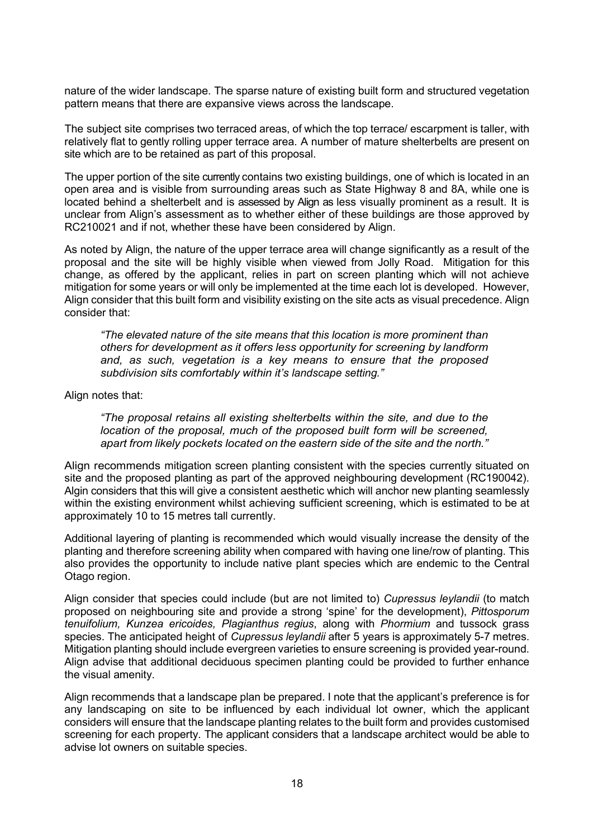nature of the wider landscape. The sparse nature of existing built form and structured vegetation pattern means that there are expansive views across the landscape.

The subject site comprises two terraced areas, of which the top terrace/ escarpment is taller, with relatively flat to gently rolling upper terrace area. A number of mature shelterbelts are present on site which are to be retained as part of this proposal.

The upper portion of the site currently contains two existing buildings, one of which is located in an open area and is visible from surrounding areas such as State Highway 8 and 8A, while one is located behind a shelterbelt and is assessed by Align as less visually prominent as a result. It is unclear from Align's assessment as to whether either of these buildings are those approved by RC210021 and if not, whether these have been considered by Align.

As noted by Align, the nature of the upper terrace area will change significantly as a result of the proposal and the site will be highly visible when viewed from Jolly Road.Mitigation for this change, as offered by the applicant, relies in part on screen planting which will not achieve mitigation for some years or will only be implemented at the time each lot is developed. However, Align consider that this built form and visibility existing on the site acts as visual precedence. Align consider that:

*"The elevated nature of the site means that this location is more prominent than others for development as it offers less opportunity for screening by landform and, as such, vegetation is a key means to ensure that the proposed subdivision sits comfortably within it's landscape setting."*

Align notes that:

*"The proposal retains all existing shelterbelts within the site, and due to the location of the proposal, much of the proposed built form will be screened, apart from likely pockets located on the eastern side of the site and the north."*

Align recommends mitigation screen planting consistent with the species currently situated on site and the proposed planting as part of the approved neighbouring development (RC190042). Algin considers that this will give a consistent aesthetic which will anchor new planting seamlessly within the existing environment whilst achieving sufficient screening, which is estimated to be at approximately 10 to 15 metres tall currently.

Additional layering of planting is recommended which would visually increase the density of the planting and therefore screening ability when compared with having one line/row of planting. This also provides the opportunity to include native plant species which are endemic to the Central Otago region.

Align consider that species could include (but are not limited to) *Cupressus leylandii* (to match proposed on neighbouring site and provide a strong 'spine' for the development), *Pittosporum tenuifolium, Kunzea ericoides, Plagianthus regius*, along with *Phormium* and tussock grass species. The anticipated height of *Cupressus leylandii* after 5 years is approximately 5-7 metres. Mitigation planting should include evergreen varieties to ensure screening is provided year-round. Align advise that additional deciduous specimen planting could be provided to further enhance the visual amenity.

Align recommends that a landscape plan be prepared. I note that the applicant's preference is for any landscaping on site to be influenced by each individual lot owner, which the applicant considers will ensure that the landscape planting relates to the built form and provides customised screening for each property. The applicant considers that a landscape architect would be able to advise lot owners on suitable species.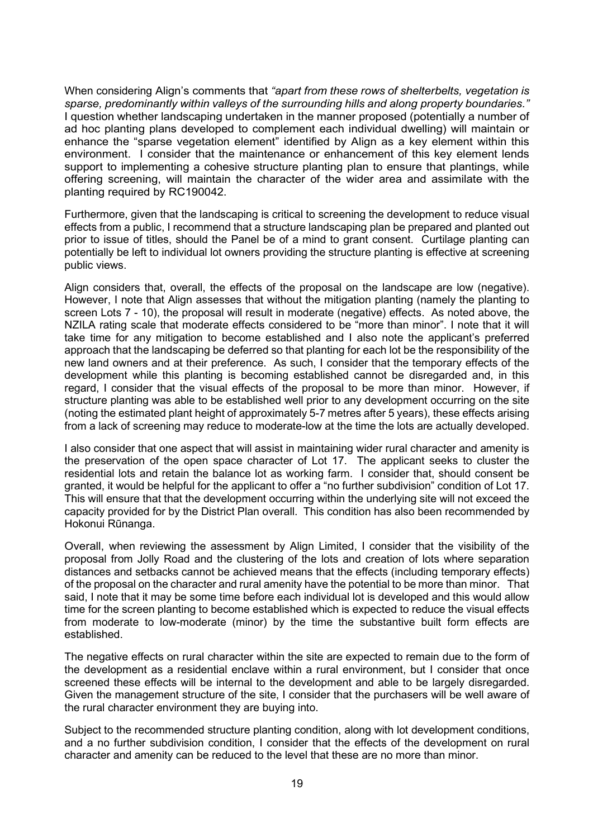When considering Align's comments that *"apart from these rows of shelterbelts, vegetation is sparse, predominantly within valleys of the surrounding hills and along property boundaries."* I question whether landscaping undertaken in the manner proposed (potentially a number of ad hoc planting plans developed to complement each individual dwelling) will maintain or enhance the "sparse vegetation element" identified by Align as a key element within this environment. I consider that the maintenance or enhancement of this key element lends support to implementing a cohesive structure planting plan to ensure that plantings, while offering screening, will maintain the character of the wider area and assimilate with the planting required by RC190042.

Furthermore, given that the landscaping is critical to screening the development to reduce visual effects from a public, I recommend that a structure landscaping plan be prepared and planted out prior to issue of titles, should the Panel be of a mind to grant consent. Curtilage planting can potentially be left to individual lot owners providing the structure planting is effective at screening public views.

Align considers that, overall, the effects of the proposal on the landscape are low (negative). However, I note that Align assesses that without the mitigation planting (namely the planting to screen Lots 7 - 10), the proposal will result in moderate (negative) effects. As noted above, the NZILA rating scale that moderate effects considered to be "more than minor". I note that it will take time for any mitigation to become established and I also note the applicant's preferred approach that the landscaping be deferred so that planting for each lot be the responsibility of the new land owners and at their preference. As such, I consider that the temporary effects of the development while this planting is becoming established cannot be disregarded and, in this regard, I consider that the visual effects of the proposal to be more than minor. However, if structure planting was able to be established well prior to any development occurring on the site (noting the estimated plant height of approximately 5-7 metres after 5 years), these effects arising from a lack of screening may reduce to moderate-low at the time the lots are actually developed.

I also consider that one aspect that will assist in maintaining wider rural character and amenity is the preservation of the open space character of Lot 17. The applicant seeks to cluster the residential lots and retain the balance lot as working farm. I consider that, should consent be granted, it would be helpful for the applicant to offer a "no further subdivision" condition of Lot 17. This will ensure that that the development occurring within the underlying site will not exceed the capacity provided for by the District Plan overall. This condition has also been recommended by Hokonui Rūnanga.

Overall, when reviewing the assessment by Align Limited, I consider that the visibility of the proposal from Jolly Road and the clustering of the lots and creation of lots where separation distances and setbacks cannot be achieved means that the effects (including temporary effects) of the proposal on the character and rural amenity have the potential to be more than minor. That said, I note that it may be some time before each individual lot is developed and this would allow time for the screen planting to become established which is expected to reduce the visual effects from moderate to low-moderate (minor) by the time the substantive built form effects are established.

The negative effects on rural character within the site are expected to remain due to the form of the development as a residential enclave within a rural environment, but I consider that once screened these effects will be internal to the development and able to be largely disregarded. Given the management structure of the site, I consider that the purchasers will be well aware of the rural character environment they are buying into.

Subject to the recommended structure planting condition, along with lot development conditions, and a no further subdivision condition, I consider that the effects of the development on rural character and amenity can be reduced to the level that these are no more than minor.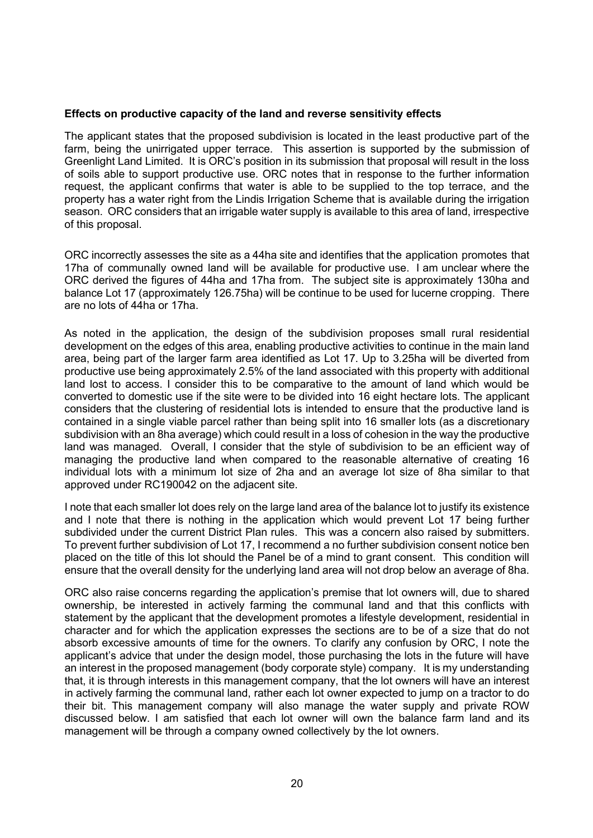#### **Effects on productive capacity of the land and reverse sensitivity effects**

The applicant states that the proposed subdivision is located in the least productive part of the farm, being the unirrigated upper terrace. This assertion is supported by the submission of Greenlight Land Limited. It is ORC's position in its submission that proposal will result in the loss of soils able to support productive use. ORC notes that in response to the further information request, the applicant confirms that water is able to be supplied to the top terrace, and the property has a water right from the Lindis Irrigation Scheme that is available during the irrigation season. ORC considers that an irrigable water supply is available to this area of land, irrespective of this proposal.

ORC incorrectly assesses the site as a 44ha site and identifies that the application promotes that 17ha of communally owned land will be available for productive use. I am unclear where the ORC derived the figures of 44ha and 17ha from. The subject site is approximately 130ha and balance Lot 17 (approximately 126.75ha) will be continue to be used for lucerne cropping. There are no lots of 44ha or 17ha.

As noted in the application, the design of the subdivision proposes small rural residential development on the edges of this area, enabling productive activities to continue in the main land area, being part of the larger farm area identified as Lot 17. Up to 3.25ha will be diverted from productive use being approximately 2.5% of the land associated with this property with additional land lost to access. I consider this to be comparative to the amount of land which would be converted to domestic use if the site were to be divided into 16 eight hectare lots. The applicant considers that the clustering of residential lots is intended to ensure that the productive land is contained in a single viable parcel rather than being split into 16 smaller lots (as a discretionary subdivision with an 8ha average) which could result in a loss of cohesion in the way the productive land was managed. Overall, I consider that the style of subdivision to be an efficient way of managing the productive land when compared to the reasonable alternative of creating 16 individual lots with a minimum lot size of 2ha and an average lot size of 8ha similar to that approved under RC190042 on the adjacent site.

I note that each smaller lot does rely on the large land area of the balance lot to justify its existence and I note that there is nothing in the application which would prevent Lot 17 being further subdivided under the current District Plan rules. This was a concern also raised by submitters. To prevent further subdivision of Lot 17, I recommend a no further subdivision consent notice ben placed on the title of this lot should the Panel be of a mind to grant consent. This condition will ensure that the overall density for the underlying land area will not drop below an average of 8ha.

ORC also raise concerns regarding the application's premise that lot owners will, due to shared ownership, be interested in actively farming the communal land and that this conflicts with statement by the applicant that the development promotes a lifestyle development, residential in character and for which the application expresses the sections are to be of a size that do not absorb excessive amounts of time for the owners. To clarify any confusion by ORC, I note the applicant's advice that under the design model, those purchasing the lots in the future will have an interest in the proposed management (body corporate style) company. It is my understanding that, it is through interests in this management company, that the lot owners will have an interest in actively farming the communal land, rather each lot owner expected to jump on a tractor to do their bit. This management company will also manage the water supply and private ROW discussed below. I am satisfied that each lot owner will own the balance farm land and its management will be through a company owned collectively by the lot owners.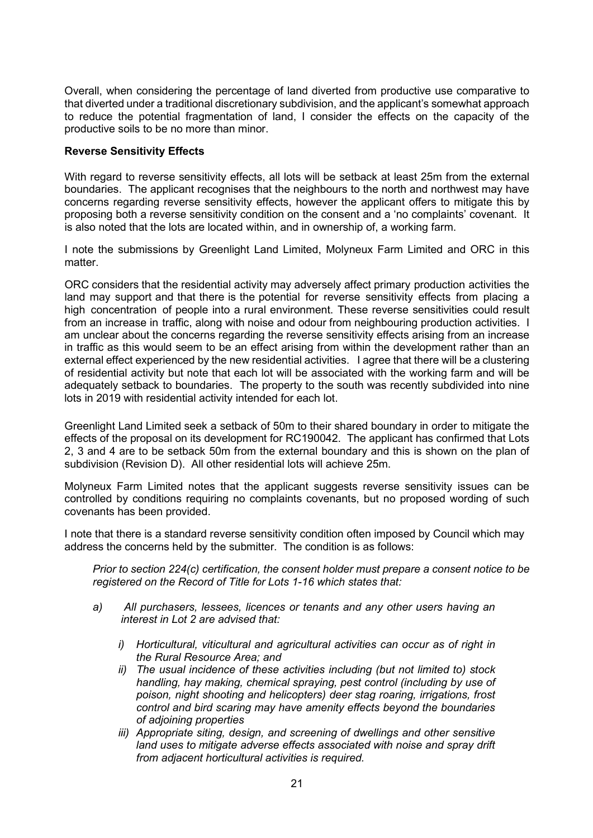Overall, when considering the percentage of land diverted from productive use comparative to that diverted under a traditional discretionary subdivision, and the applicant's somewhat approach to reduce the potential fragmentation of land, I consider the effects on the capacity of the productive soils to be no more than minor.

# **Reverse Sensitivity Effects**

With regard to reverse sensitivity effects, all lots will be setback at least 25m from the external boundaries. The applicant recognises that the neighbours to the north and northwest may have concerns regarding reverse sensitivity effects, however the applicant offers to mitigate this by proposing both a reverse sensitivity condition on the consent and a 'no complaints' covenant. It is also noted that the lots are located within, and in ownership of, a working farm.

I note the submissions by Greenlight Land Limited, Molyneux Farm Limited and ORC in this matter.

ORC considers that the residential activity may adversely affect primary production activities the land may support and that there is the potential for reverse sensitivity effects from placing a high concentration of people into a rural environment. These reverse sensitivities could result from an increase in traffic, along with noise and odour from neighbouring production activities. I am unclear about the concerns regarding the reverse sensitivity effects arising from an increase in traffic as this would seem to be an effect arising from within the development rather than an external effect experienced by the new residential activities. I agree that there will be a clustering of residential activity but note that each lot will be associated with the working farm and will be adequately setback to boundaries. The property to the south was recently subdivided into nine lots in 2019 with residential activity intended for each lot.

Greenlight Land Limited seek a setback of 50m to their shared boundary in order to mitigate the effects of the proposal on its development for RC190042. The applicant has confirmed that Lots 2, 3 and 4 are to be setback 50m from the external boundary and this is shown on the plan of subdivision (Revision D). All other residential lots will achieve 25m.

Molyneux Farm Limited notes that the applicant suggests reverse sensitivity issues can be controlled by conditions requiring no complaints covenants, but no proposed wording of such covenants has been provided.

I note that there is a standard reverse sensitivity condition often imposed by Council which may address the concerns held by the submitter. The condition is as follows:

*Prior to section 224(c) certification, the consent holder must prepare a consent notice to be registered on the Record of Title for Lots 1-16 which states that:*

- *a) All purchasers, lessees, licences or tenants and any other users having an interest in Lot 2 are advised that:*
	- *i) Horticultural, viticultural and agricultural activities can occur as of right in the Rural Resource Area; and*
	- *ii) The usual incidence of these activities including (but not limited to) stock handling, hay making, chemical spraying, pest control (including by use of poison, night shooting and helicopters) deer stag roaring, irrigations, frost control and bird scaring may have amenity effects beyond the boundaries of adjoining properties*
	- *iii) Appropriate siting, design, and screening of dwellings and other sensitive*  land uses to mitigate adverse effects associated with noise and spray drift *from adjacent horticultural activities is required.*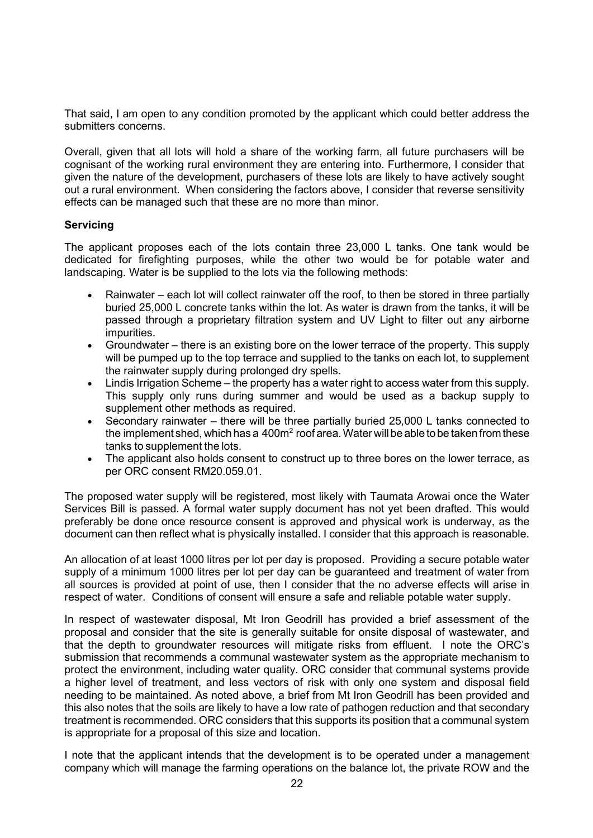That said, I am open to any condition promoted by the applicant which could better address the submitters concerns.

Overall, given that all lots will hold a share of the working farm, all future purchasers will be cognisant of the working rural environment they are entering into. Furthermore, I consider that given the nature of the development, purchasers of these lots are likely to have actively sought out a rural environment. When considering the factors above, I consider that reverse sensitivity effects can be managed such that these are no more than minor.

# **Servicing**

The applicant proposes each of the lots contain three 23,000 L tanks. One tank would be dedicated for firefighting purposes, while the other two would be for potable water and landscaping. Water is be supplied to the lots via the following methods:

- Rainwater each lot will collect rainwater off the roof, to then be stored in three partially buried 25,000 L concrete tanks within the lot. As water is drawn from the tanks, it will be passed through a proprietary filtration system and UV Light to filter out any airborne impurities.
- Groundwater there is an existing bore on the lower terrace of the property. This supply will be pumped up to the top terrace and supplied to the tanks on each lot, to supplement the rainwater supply during prolonged dry spells.
- Lindis Irrigation Scheme the property has a water right to access water from this supply. This supply only runs during summer and would be used as a backup supply to supplement other methods as required.
- Secondary rainwater there will be three partially buried 25,000 L tanks connected to the implement shed, which has a  $400<sup>m²</sup>$  roof area. Water will be able to be taken from these tanks to supplement the lots.
- The applicant also holds consent to construct up to three bores on the lower terrace, as per ORC consent RM20.059.01.

The proposed water supply will be registered, most likely with Taumata Arowai once the Water Services Bill is passed. A formal water supply document has not yet been drafted. This would preferably be done once resource consent is approved and physical work is underway, as the document can then reflect what is physically installed. I consider that this approach is reasonable.

An allocation of at least 1000 litres per lot per day is proposed. Providing a secure potable water supply of a minimum 1000 litres per lot per day can be guaranteed and treatment of water from all sources is provided at point of use, then I consider that the no adverse effects will arise in respect of water. Conditions of consent will ensure a safe and reliable potable water supply.

In respect of wastewater disposal, Mt Iron Geodrill has provided a brief assessment of the proposal and consider that the site is generally suitable for onsite disposal of wastewater, and that the depth to groundwater resources will mitigate risks from effluent. I note the ORC's submission that recommends a communal wastewater system as the appropriate mechanism to protect the environment, including water quality. ORC consider that communal systems provide a higher level of treatment, and less vectors of risk with only one system and disposal field needing to be maintained. As noted above, a brief from Mt Iron Geodrill has been provided and this also notes that the soils are likely to have a low rate of pathogen reduction and that secondary treatment is recommended. ORC considers that this supports its position that a communal system is appropriate for a proposal of this size and location.

I note that the applicant intends that the development is to be operated under a management company which will manage the farming operations on the balance lot, the private ROW and the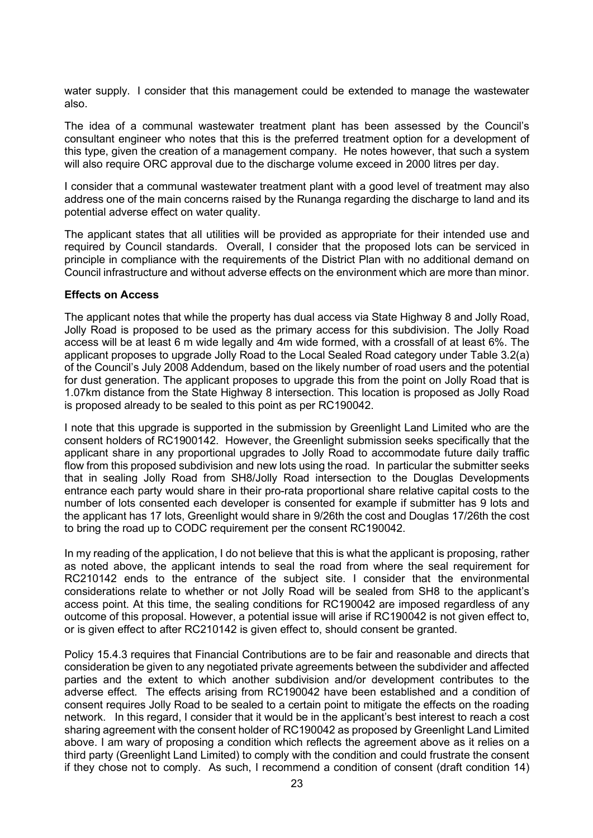water supply. I consider that this management could be extended to manage the wastewater also.

The idea of a communal wastewater treatment plant has been assessed by the Council's consultant engineer who notes that this is the preferred treatment option for a development of this type, given the creation of a management company. He notes however, that such a system will also require ORC approval due to the discharge volume exceed in 2000 litres per day.

I consider that a communal wastewater treatment plant with a good level of treatment may also address one of the main concerns raised by the Runanga regarding the discharge to land and its potential adverse effect on water quality.

The applicant states that all utilities will be provided as appropriate for their intended use and required by Council standards. Overall, I consider that the proposed lots can be serviced in principle in compliance with the requirements of the District Plan with no additional demand on Council infrastructure and without adverse effects on the environment which are more than minor.

# **Effects on Access**

The applicant notes that while the property has dual access via State Highway 8 and Jolly Road, Jolly Road is proposed to be used as the primary access for this subdivision. The Jolly Road access will be at least 6 m wide legally and 4m wide formed, with a crossfall of at least 6%. The applicant proposes to upgrade Jolly Road to the Local Sealed Road category under Table 3.2(a) of the Council's July 2008 Addendum, based on the likely number of road users and the potential for dust generation. The applicant proposes to upgrade this from the point on Jolly Road that is 1.07km distance from the State Highway 8 intersection. This location is proposed as Jolly Road is proposed already to be sealed to this point as per RC190042.

I note that this upgrade is supported in the submission by Greenlight Land Limited who are the consent holders of RC1900142. However, the Greenlight submission seeks specifically that the applicant share in any proportional upgrades to Jolly Road to accommodate future daily traffic flow from this proposed subdivision and new lots using the road. In particular the submitter seeks that in sealing Jolly Road from SH8/Jolly Road intersection to the Douglas Developments entrance each party would share in their pro-rata proportional share relative capital costs to the number of lots consented each developer is consented for example if submitter has 9 lots and the applicant has 17 lots, Greenlight would share in 9/26th the cost and Douglas 17/26th the cost to bring the road up to CODC requirement per the consent RC190042.

In my reading of the application, I do not believe that this is what the applicant is proposing, rather as noted above, the applicant intends to seal the road from where the seal requirement for RC210142 ends to the entrance of the subject site. I consider that the environmental considerations relate to whether or not Jolly Road will be sealed from SH8 to the applicant's access point. At this time, the sealing conditions for RC190042 are imposed regardless of any outcome of this proposal. However, a potential issue will arise if RC190042 is not given effect to, or is given effect to after RC210142 is given effect to, should consent be granted.

Policy 15.4.3 requires that Financial Contributions are to be fair and reasonable and directs that consideration be given to any negotiated private agreements between the subdivider and affected parties and the extent to which another subdivision and/or development contributes to the adverse effect. The effects arising from RC190042 have been established and a condition of consent requires Jolly Road to be sealed to a certain point to mitigate the effects on the roading network. In this regard, I consider that it would be in the applicant's best interest to reach a cost sharing agreement with the consent holder of RC190042 as proposed by Greenlight Land Limited above. I am wary of proposing a condition which reflects the agreement above as it relies on a third party (Greenlight Land Limited) to comply with the condition and could frustrate the consent if they chose not to comply. As such, I recommend a condition of consent (draft condition 14)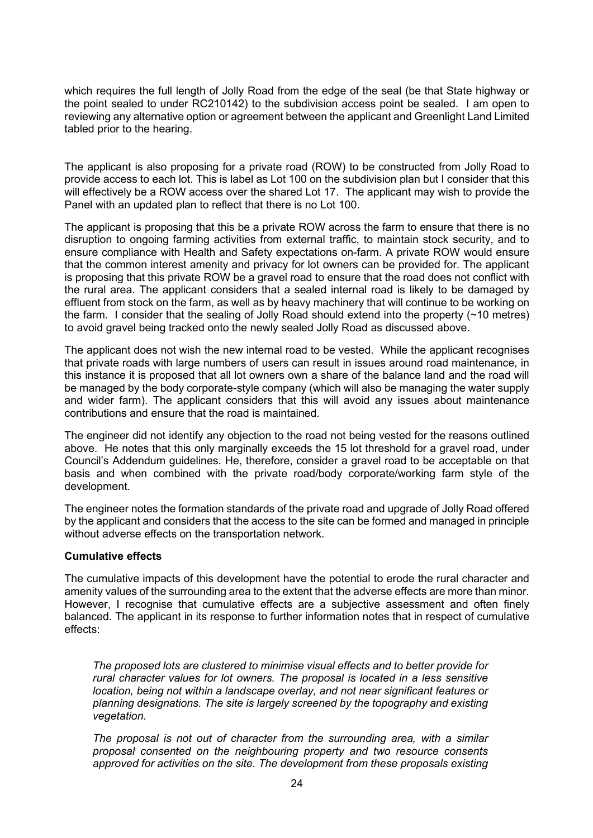which requires the full length of Jolly Road from the edge of the seal (be that State highway or the point sealed to under RC210142) to the subdivision access point be sealed. I am open to reviewing any alternative option or agreement between the applicant and Greenlight Land Limited tabled prior to the hearing.

The applicant is also proposing for a private road (ROW) to be constructed from Jolly Road to provide access to each lot. This is label as Lot 100 on the subdivision plan but I consider that this will effectively be a ROW access over the shared Lot 17. The applicant may wish to provide the Panel with an updated plan to reflect that there is no Lot 100.

The applicant is proposing that this be a private ROW across the farm to ensure that there is no disruption to ongoing farming activities from external traffic, to maintain stock security, and to ensure compliance with Health and Safety expectations on-farm. A private ROW would ensure that the common interest amenity and privacy for lot owners can be provided for. The applicant is proposing that this private ROW be a gravel road to ensure that the road does not conflict with the rural area. The applicant considers that a sealed internal road is likely to be damaged by effluent from stock on the farm, as well as by heavy machinery that will continue to be working on the farm. I consider that the sealing of Jolly Road should extend into the property (~10 metres) to avoid gravel being tracked onto the newly sealed Jolly Road as discussed above.

The applicant does not wish the new internal road to be vested. While the applicant recognises that private roads with large numbers of users can result in issues around road maintenance, in this instance it is proposed that all lot owners own a share of the balance land and the road will be managed by the body corporate-style company (which will also be managing the water supply and wider farm). The applicant considers that this will avoid any issues about maintenance contributions and ensure that the road is maintained.

The engineer did not identify any objection to the road not being vested for the reasons outlined above. He notes that this only marginally exceeds the 15 lot threshold for a gravel road, under Council's Addendum guidelines. He, therefore, consider a gravel road to be acceptable on that basis and when combined with the private road/body corporate/working farm style of the development.

The engineer notes the formation standards of the private road and upgrade of Jolly Road offered by the applicant and considers that the access to the site can be formed and managed in principle without adverse effects on the transportation network.

# **Cumulative effects**

The cumulative impacts of this development have the potential to erode the rural character and amenity values of the surrounding area to the extent that the adverse effects are more than minor. However, I recognise that cumulative effects are a subjective assessment and often finely balanced. The applicant in its response to further information notes that in respect of cumulative effects:

*The proposed lots are clustered to minimise visual effects and to better provide for rural character values for lot owners. The proposal is located in a less sensitive location, being not within a landscape overlay, and not near significant features or planning designations. The site is largely screened by the topography and existing vegetation.* 

*The proposal is not out of character from the surrounding area, with a similar proposal consented on the neighbouring property and two resource consents approved for activities on the site. The development from these proposals existing*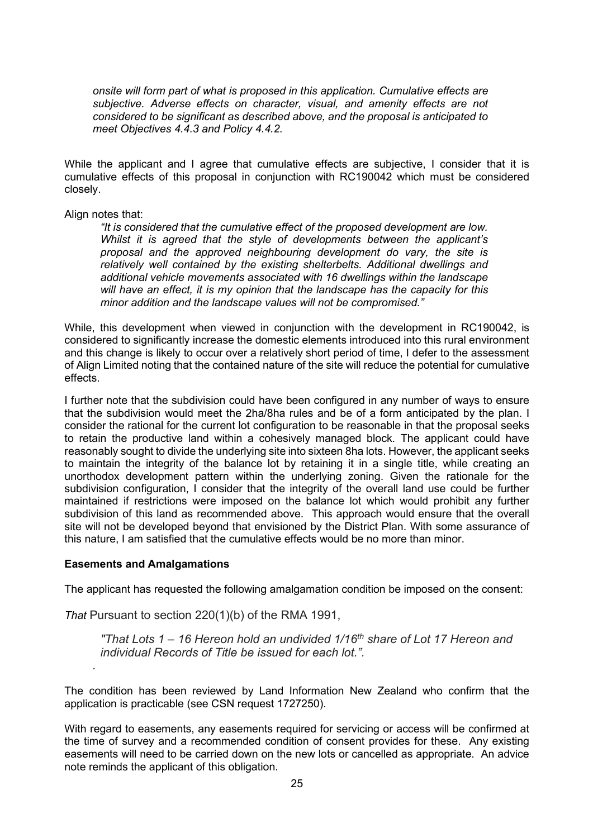*onsite will form part of what is proposed in this application. Cumulative effects are subjective. Adverse effects on character, visual, and amenity effects are not considered to be significant as described above, and the proposal is anticipated to meet Objectives 4.4.3 and Policy 4.4.2.*

While the applicant and I agree that cumulative effects are subjective, I consider that it is cumulative effects of this proposal in conjunction with RC190042 which must be considered closely.

#### Align notes that:

*"It is considered that the cumulative effect of the proposed development are low. Whilst it is agreed that the style of developments between the applicant's proposal and the approved neighbouring development do vary, the site is relatively well contained by the existing shelterbelts. Additional dwellings and additional vehicle movements associated with 16 dwellings within the landscape will have an effect, it is my opinion that the landscape has the capacity for this minor addition and the landscape values will not be compromised."*

While, this development when viewed in conjunction with the development in RC190042, is considered to significantly increase the domestic elements introduced into this rural environment and this change is likely to occur over a relatively short period of time, I defer to the assessment of Align Limited noting that the contained nature of the site will reduce the potential for cumulative effects.

I further note that the subdivision could have been configured in any number of ways to ensure that the subdivision would meet the 2ha/8ha rules and be of a form anticipated by the plan. I consider the rational for the current lot configuration to be reasonable in that the proposal seeks to retain the productive land within a cohesively managed block. The applicant could have reasonably sought to divide the underlying site into sixteen 8ha lots. However, the applicant seeks to maintain the integrity of the balance lot by retaining it in a single title, while creating an unorthodox development pattern within the underlying zoning. Given the rationale for the subdivision configuration, I consider that the integrity of the overall land use could be further maintained if restrictions were imposed on the balance lot which would prohibit any further subdivision of this land as recommended above. This approach would ensure that the overall site will not be developed beyond that envisioned by the District Plan. With some assurance of this nature, I am satisfied that the cumulative effects would be no more than minor.

#### **Easements and Amalgamations**

*.*

The applicant has requested the following amalgamation condition be imposed on the consent:

*That* Pursuant to section 220(1)(b) of the RMA 1991,

*"That Lots 1 – 16 Hereon hold an undivided 1/16th share of Lot 17 Hereon and individual Records of Title be issued for each lot.".*

The condition has been reviewed by Land Information New Zealand who confirm that the application is practicable (see CSN request 1727250).

With regard to easements, any easements required for servicing or access will be confirmed at the time of survey and a recommended condition of consent provides for these. Any existing easements will need to be carried down on the new lots or cancelled as appropriate. An advice note reminds the applicant of this obligation.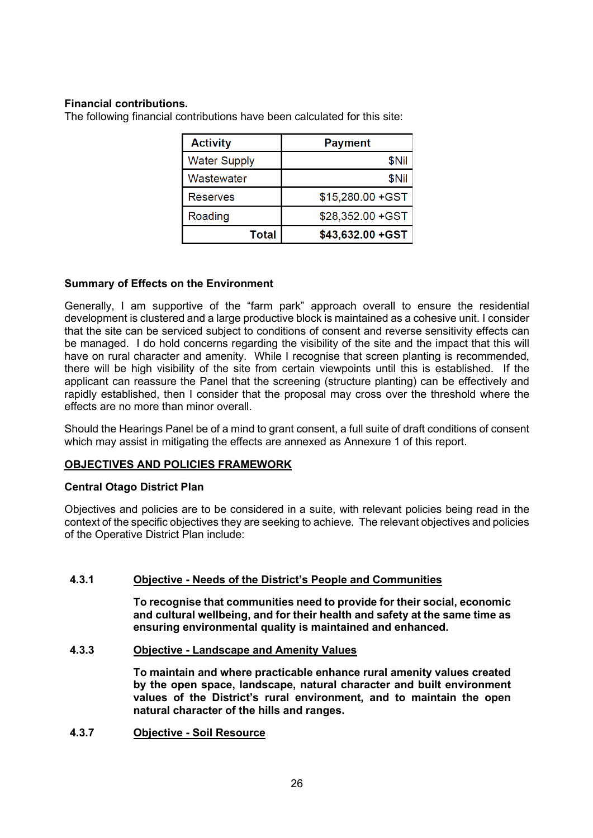# **Financial contributions.**

The following financial contributions have been calculated for this site:

| <b>Activity</b>     | <b>Payment</b>    |
|---------------------|-------------------|
| <b>Water Supply</b> | \$Nil             |
| Wastewater          | \$Nil             |
| <b>Reserves</b>     | \$15,280.00 + GST |
| Roading             | \$28,352.00 + GST |
| Total               | \$43,632.00 + GST |

# **Summary of Effects on the Environment**

Generally, I am supportive of the "farm park" approach overall to ensure the residential development is clustered and a large productive block is maintained as a cohesive unit. I consider that the site can be serviced subject to conditions of consent and reverse sensitivity effects can be managed. I do hold concerns regarding the visibility of the site and the impact that this will have on rural character and amenity. While I recognise that screen planting is recommended, there will be high visibility of the site from certain viewpoints until this is established. If the applicant can reassure the Panel that the screening (structure planting) can be effectively and rapidly established, then I consider that the proposal may cross over the threshold where the effects are no more than minor overall.

Should the Hearings Panel be of a mind to grant consent, a full suite of draft conditions of consent which may assist in mitigating the effects are annexed as Annexure 1 of this report.

# **OBJECTIVES AND POLICIES FRAMEWORK**

# **Central Otago District Plan**

Objectives and policies are to be considered in a suite, with relevant policies being read in the context of the specific objectives they are seeking to achieve. The relevant objectives and policies of the Operative District Plan include:

# **4.3.1 Objective - Needs of the District's People and Communities**

**To recognise that communities need to provide for their social, economic and cultural wellbeing, and for their health and safety at the same time as ensuring environmental quality is maintained and enhanced.**

# **4.3.3 Objective - Landscape and Amenity Values**

**To maintain and where practicable enhance rural amenity values created by the open space, landscape, natural character and built environment values of the District's rural environment, and to maintain the open natural character of the hills and ranges.**

**4.3.7 Objective - Soil Resource**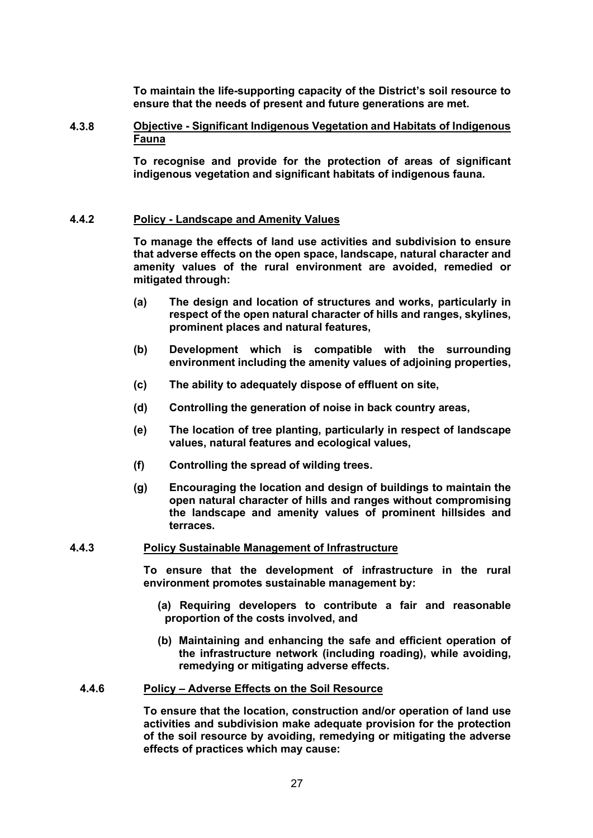**To maintain the life-supporting capacity of the District's soil resource to ensure that the needs of present and future generations are met.**

#### **4.3.8 Objective - Significant Indigenous Vegetation and Habitats of Indigenous Fauna**

**To recognise and provide for the protection of areas of significant indigenous vegetation and significant habitats of indigenous fauna.**

#### **4.4.2 Policy - Landscape and Amenity Values**

**To manage the effects of land use activities and subdivision to ensure that adverse effects on the open space, landscape, natural character and amenity values of the rural environment are avoided, remedied or mitigated through:**

- **(a) The design and location of structures and works, particularly in respect of the open natural character of hills and ranges, skylines, prominent places and natural features,**
- **(b) Development which is compatible with the surrounding environment including the amenity values of adjoining properties,**
- **(c) The ability to adequately dispose of effluent on site,**
- **(d) Controlling the generation of noise in back country areas,**
- **(e) The location of tree planting, particularly in respect of landscape values, natural features and ecological values,**
- **(f) Controlling the spread of wilding trees.**
- **(g) Encouraging the location and design of buildings to maintain the open natural character of hills and ranges without compromising the landscape and amenity values of prominent hillsides and terraces.**

#### **4.4.3 Policy Sustainable Management of Infrastructure**

**To ensure that the development of infrastructure in the rural environment promotes sustainable management by:**

- **(a) Requiring developers to contribute a fair and reasonable proportion of the costs involved, and**
- **(b) Maintaining and enhancing the safe and efficient operation of the infrastructure network (including roading), while avoiding, remedying or mitigating adverse effects.**

#### **4.4.6 Policy – Adverse Effects on the Soil Resource**

**To ensure that the location, construction and/or operation of land use activities and subdivision make adequate provision for the protection of the soil resource by avoiding, remedying or mitigating the adverse effects of practices which may cause:**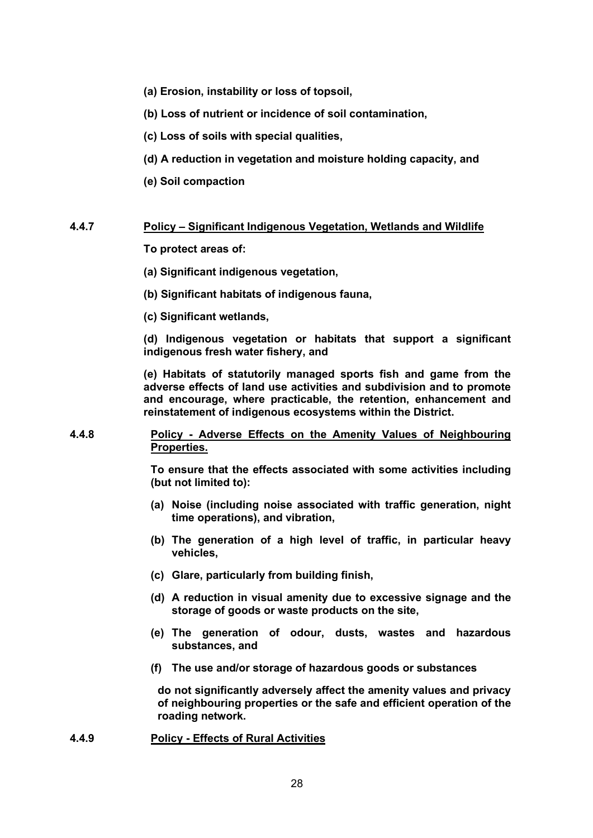- **(a) Erosion, instability or loss of topsoil,**
- **(b) Loss of nutrient or incidence of soil contamination,**
- **(c) Loss of soils with special qualities,**
- **(d) A reduction in vegetation and moisture holding capacity, and**
- **(e) Soil compaction**

#### **4.4.7 Policy – Significant Indigenous Vegetation, Wetlands and Wildlife**

**To protect areas of:** 

- **(a) Significant indigenous vegetation,**
- **(b) Significant habitats of indigenous fauna,**
- **(c) Significant wetlands,**

**(d) Indigenous vegetation or habitats that support a significant indigenous fresh water fishery, and** 

**(e) Habitats of statutorily managed sports fish and game from the adverse effects of land use activities and subdivision and to promote and encourage, where practicable, the retention, enhancement and reinstatement of indigenous ecosystems within the District.**

**4.4.8 Policy - Adverse Effects on the Amenity Values of Neighbouring Properties.**

> **To ensure that the effects associated with some activities including (but not limited to):**

- **(a) Noise (including noise associated with traffic generation, night time operations), and vibration,**
- **(b) The generation of a high level of traffic, in particular heavy vehicles,**
- **(c) Glare, particularly from building finish,**
- **(d) A reduction in visual amenity due to excessive signage and the storage of goods or waste products on the site,**
- **(e) The generation of odour, dusts, wastes and hazardous substances, and**
- **(f) The use and/or storage of hazardous goods or substances**

**do not significantly adversely affect the amenity values and privacy of neighbouring properties or the safe and efficient operation of the roading network.**

**4.4.9 Policy - Effects of Rural Activities**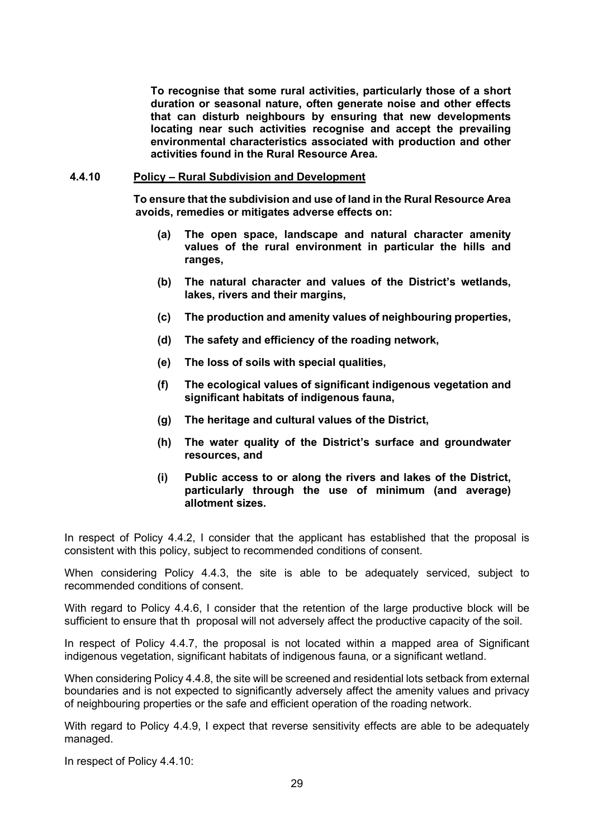**To recognise that some rural activities, particularly those of a short duration or seasonal nature, often generate noise and other effects that can disturb neighbours by ensuring that new developments locating near such activities recognise and accept the prevailing environmental characteristics associated with production and other activities found in the Rural Resource Area.**

#### **4.4.10 Policy – Rural Subdivision and Development**

**To ensure that the subdivision and use of land in the Rural Resource Area avoids, remedies or mitigates adverse effects on:**

- **(a) The open space, landscape and natural character amenity values of the rural environment in particular the hills and ranges,**
- **(b) The natural character and values of the District's wetlands, lakes, rivers and their margins,**
- **(c) The production and amenity values of neighbouring properties,**
- **(d) The safety and efficiency of the roading network,**
- **(e) The loss of soils with special qualities,**
- **(f) The ecological values of significant indigenous vegetation and significant habitats of indigenous fauna,**
- **(g) The heritage and cultural values of the District,**
- **(h) The water quality of the District's surface and groundwater resources, and**
- **(i) Public access to or along the rivers and lakes of the District, particularly through the use of minimum (and average) allotment sizes.**

In respect of Policy 4.4.2, I consider that the applicant has established that the proposal is consistent with this policy, subject to recommended conditions of consent.

When considering Policy 4.4.3, the site is able to be adequately serviced, subject to recommended conditions of consent.

With regard to Policy 4.4.6, I consider that the retention of the large productive block will be sufficient to ensure that th proposal will not adversely affect the productive capacity of the soil.

In respect of Policy 4.4.7, the proposal is not located within a mapped area of Significant indigenous vegetation, significant habitats of indigenous fauna, or a significant wetland.

When considering Policy 4.4.8, the site will be screened and residential lots setback from external boundaries and is not expected to significantly adversely affect the amenity values and privacy of neighbouring properties or the safe and efficient operation of the roading network.

With regard to Policy 4.4.9, I expect that reverse sensitivity effects are able to be adequately managed.

In respect of Policy 4.4.10: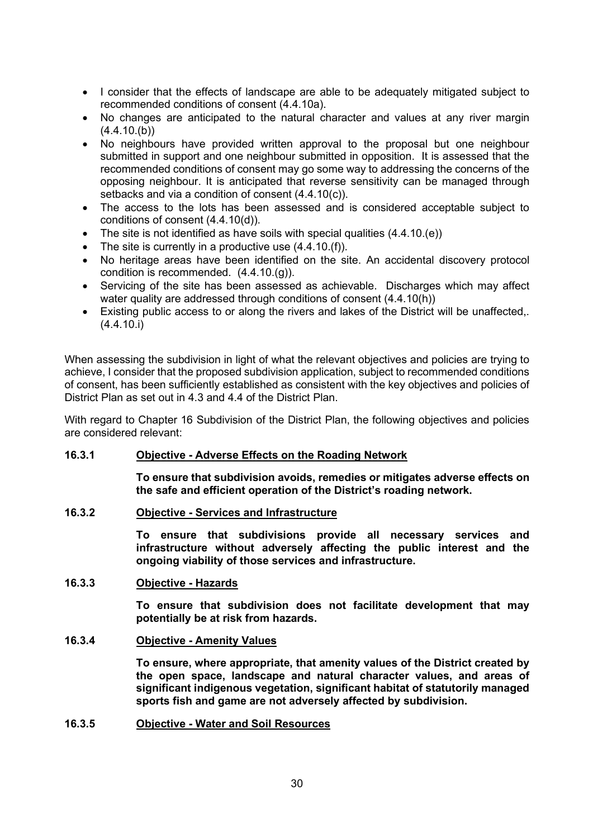- I consider that the effects of landscape are able to be adequately mitigated subject to recommended conditions of consent (4.4.10a).
- No changes are anticipated to the natural character and values at any river margin  $(4.4.10(b))$
- No neighbours have provided written approval to the proposal but one neighbour submitted in support and one neighbour submitted in opposition. It is assessed that the recommended conditions of consent may go some way to addressing the concerns of the opposing neighbour. It is anticipated that reverse sensitivity can be managed through setbacks and via a condition of consent (4.4.10(c)).
- The access to the lots has been assessed and is considered acceptable subject to conditions of consent (4.4.10(d)).
- The site is not identified as have soils with special qualities (4.4.10.(e))
- The site is currently in a productive use  $(4.4.10)(f)$ .
- No heritage areas have been identified on the site. An accidental discovery protocol condition is recommended. (4.4.10.(g)).
- Servicing of the site has been assessed as achievable. Discharges which may affect water quality are addressed through conditions of consent (4.4.10(h))
- Existing public access to or along the rivers and lakes of the District will be unaffected,. (4.4.10.i)

When assessing the subdivision in light of what the relevant objectives and policies are trying to achieve, I consider that the proposed subdivision application, subject to recommended conditions of consent, has been sufficiently established as consistent with the key objectives and policies of District Plan as set out in 4.3 and 4.4 of the District Plan.

With regard to Chapter 16 Subdivision of the District Plan, the following objectives and policies are considered relevant:

# **16.3.1 Objective - Adverse Effects on the Roading Network**

**To ensure that subdivision avoids, remedies or mitigates adverse effects on the safe and efficient operation of the District's roading network.** 

# **16.3.2 Objective - Services and Infrastructure**

**To ensure that subdivisions provide all necessary services and infrastructure without adversely affecting the public interest and the ongoing viability of those services and infrastructure.** 

# **16.3.3 Objective - Hazards**

**To ensure that subdivision does not facilitate development that may potentially be at risk from hazards.**

# **16.3.4 Objective - Amenity Values**

**To ensure, where appropriate, that amenity values of the District created by the open space, landscape and natural character values, and areas of significant indigenous vegetation, significant habitat of statutorily managed sports fish and game are not adversely affected by subdivision.** 

# **16.3.5 Objective - Water and Soil Resources**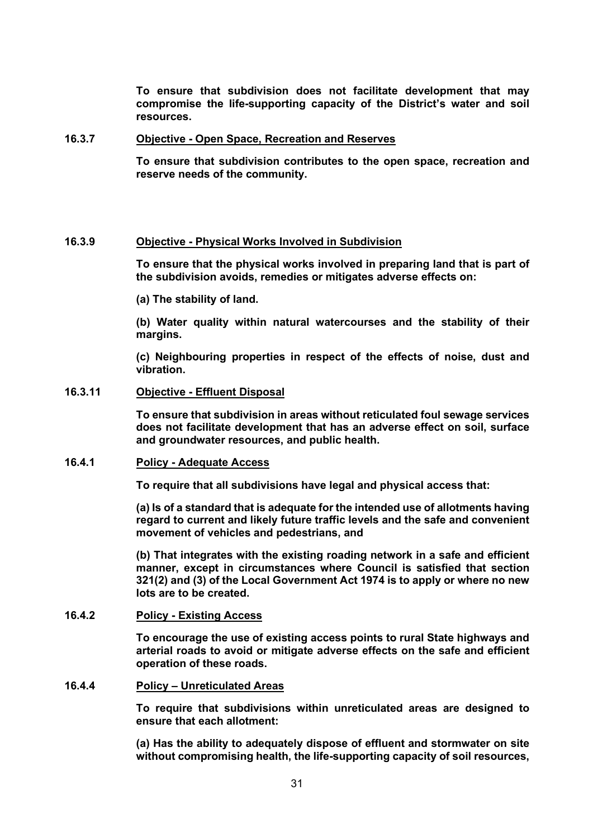**To ensure that subdivision does not facilitate development that may compromise the life-supporting capacity of the District's water and soil resources.** 

#### **16.3.7 Objective - Open Space, Recreation and Reserves**

**To ensure that subdivision contributes to the open space, recreation and reserve needs of the community.** 

#### **16.3.9 Objective - Physical Works Involved in Subdivision**

**To ensure that the physical works involved in preparing land that is part of the subdivision avoids, remedies or mitigates adverse effects on:** 

**(a) The stability of land.** 

**(b) Water quality within natural watercourses and the stability of their margins.** 

**(c) Neighbouring properties in respect of the effects of noise, dust and vibration.** 

#### **16.3.11 Objective - Effluent Disposal**

**To ensure that subdivision in areas without reticulated foul sewage services does not facilitate development that has an adverse effect on soil, surface and groundwater resources, and public health.**

#### **16.4.1 Policy - Adequate Access**

**To require that all subdivisions have legal and physical access that:** 

**(a) Is of a standard that is adequate for the intended use of allotments having regard to current and likely future traffic levels and the safe and convenient movement of vehicles and pedestrians, and** 

**(b) That integrates with the existing roading network in a safe and efficient manner, except in circumstances where Council is satisfied that section 321(2) and (3) of the Local Government Act 1974 is to apply or where no new lots are to be created.** 

# **16.4.2 Policy - Existing Access**

**To encourage the use of existing access points to rural State highways and arterial roads to avoid or mitigate adverse effects on the safe and efficient operation of these roads.** 

#### **16.4.4 Policy – Unreticulated Areas**

**To require that subdivisions within unreticulated areas are designed to ensure that each allotment:** 

**(a) Has the ability to adequately dispose of effluent and stormwater on site without compromising health, the life-supporting capacity of soil resources,**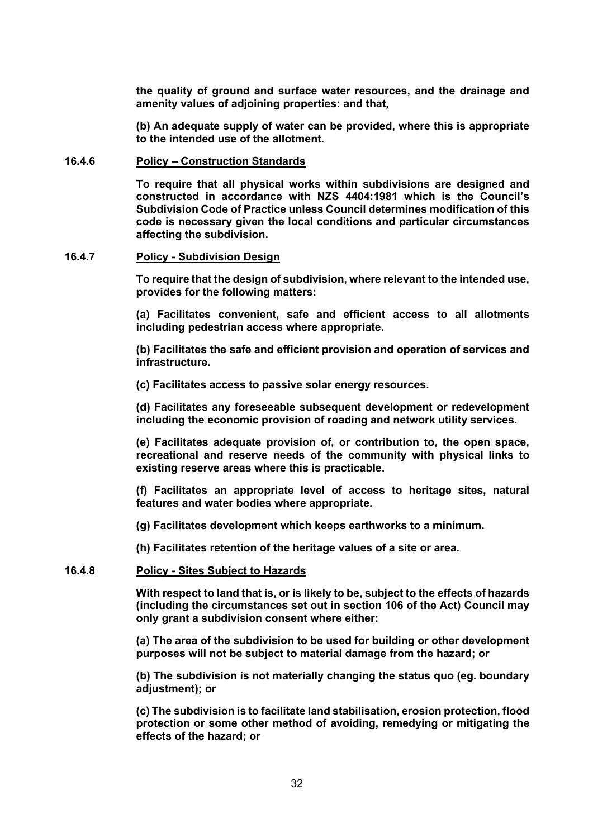**the quality of ground and surface water resources, and the drainage and amenity values of adjoining properties: and that,** 

**(b) An adequate supply of water can be provided, where this is appropriate to the intended use of the allotment.** 

#### **16.4.6 Policy – Construction Standards**

**To require that all physical works within subdivisions are designed and constructed in accordance with NZS 4404:1981 which is the Council's Subdivision Code of Practice unless Council determines modification of this code is necessary given the local conditions and particular circumstances affecting the subdivision.** 

#### **16.4.7 Policy - Subdivision Design**

**To require that the design of subdivision, where relevant to the intended use, provides for the following matters:** 

**(a) Facilitates convenient, safe and efficient access to all allotments including pedestrian access where appropriate.** 

**(b) Facilitates the safe and efficient provision and operation of services and infrastructure.** 

**(c) Facilitates access to passive solar energy resources.** 

**(d) Facilitates any foreseeable subsequent development or redevelopment including the economic provision of roading and network utility services.** 

**(e) Facilitates adequate provision of, or contribution to, the open space, recreational and reserve needs of the community with physical links to existing reserve areas where this is practicable.** 

**(f) Facilitates an appropriate level of access to heritage sites, natural features and water bodies where appropriate.** 

**(g) Facilitates development which keeps earthworks to a minimum.** 

**(h) Facilitates retention of the heritage values of a site or area.** 

#### **16.4.8 Policy - Sites Subject to Hazards**

**With respect to land that is, or is likely to be, subject to the effects of hazards (including the circumstances set out in section 106 of the Act) Council may only grant a subdivision consent where either:** 

**(a) The area of the subdivision to be used for building or other development purposes will not be subject to material damage from the hazard; or** 

**(b) The subdivision is not materially changing the status quo (eg. boundary adjustment); or** 

**(c) The subdivision is to facilitate land stabilisation, erosion protection, flood protection or some other method of avoiding, remedying or mitigating the effects of the hazard; or**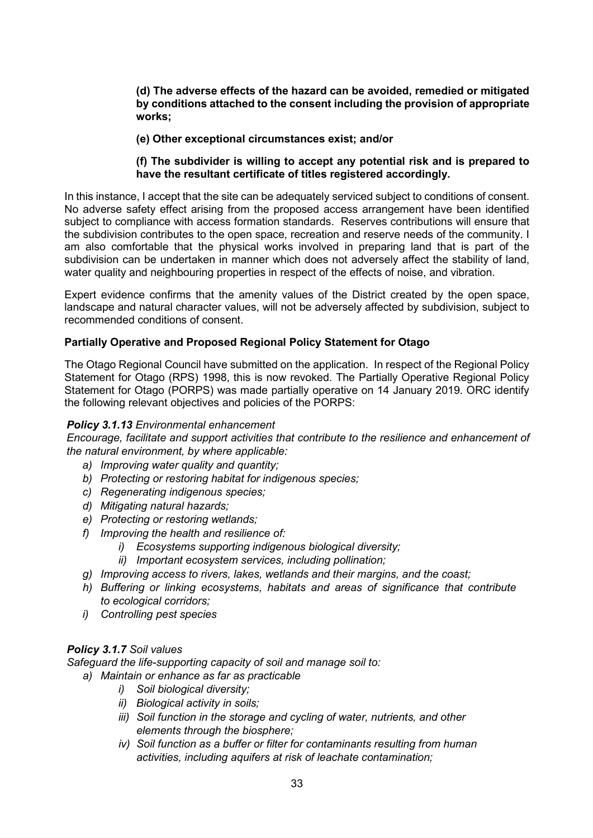**(d) The adverse effects of the hazard can be avoided, remedied or mitigated by conditions attached to the consent including the provision of appropriate works;** 

### **(e) Other exceptional circumstances exist; and/or**

### **(f) The subdivider is willing to accept any potential risk and is prepared to have the resultant certificate of titles registered accordingly.**

In this instance, I accept that the site can be adequately serviced subject to conditions of consent. No adverse safety effect arising from the proposed access arrangement have been identified subject to compliance with access formation standards. Reserves contributions will ensure that the subdivision contributes to the open space, recreation and reserve needs of the community. I am also comfortable that the physical works involved in preparing land that is part of the subdivision can be undertaken in manner which does not adversely affect the stability of land, water quality and neighbouring properties in respect of the effects of noise, and vibration.

Expert evidence confirms that the amenity values of the District created by the open space, landscape and natural character values, will not be adversely affected by subdivision, subject to recommended conditions of consent.

#### **Partially Operative and Proposed Regional Policy Statement for Otago**

The Otago Regional Council have submitted on the application. In respect of the Regional Policy Statement for Otago (RPS) 1998, this is now revoked. The Partially Operative Regional Policy Statement for Otago (PORPS) was made partially operative on 14 January 2019. ORC identify the following relevant objectives and policies of the PORPS:

#### *Policy 3.1.13 Environmental enhancement*

*Encourage, facilitate and support activities that contribute to the resilience and enhancement of the natural environment, by where applicable:*

- *a) Improving water quality and quantity;*
- *b) Protecting or restoring habitat for indigenous species;*
- *c) Regenerating indigenous species;*
- *d) Mitigating natural hazards;*
- *e) Protecting or restoring wetlands;*
- *f) Improving the health and resilience of:*
	- *i) Ecosystems supporting indigenous biological diversity;*
	- *ii) Important ecosystem services, including pollination;*
- *g) Improving access to rivers, lakes, wetlands and their margins, and the coast;*
- *h) Buffering or linking ecosystems, habitats and areas of significance that contribute to ecological corridors;*
- *i) Controlling pest species*

# *Policy 3.1.7 Soil values*

*Safeguard the life-supporting capacity of soil and manage soil to:*

- *a) Maintain or enhance as far as practicable*
	- *i) Soil biological diversity;*
	- *ii) Biological activity in soils;*
	- *iii) Soil function in the storage and cycling of water, nutrients, and other elements through the biosphere;*
	- *iv) Soil function as a buffer or filter for contaminants resulting from human activities, including aquifers at risk of leachate contamination;*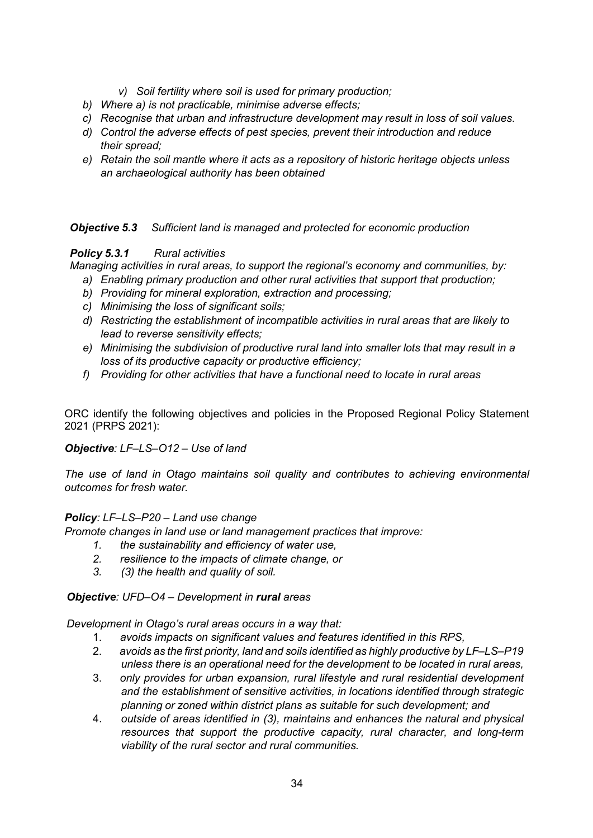- *v) Soil fertility where soil is used for primary production;*
- *b) Where a) is not practicable, minimise adverse effects;*
- *c) Recognise that urban and infrastructure development may result in loss of soil values.*
- *d) Control the adverse effects of pest species, prevent their introduction and reduce their spread;*
- *e) Retain the soil mantle where it acts as a repository of historic heritage objects unless an archaeological authority has been obtained*

*Objective 5.3 Sufficient land is managed and protected for economic production*

*Policy 5.3.1 Rural activities*

*Managing activities in rural areas, to support the regional's economy and communities, by:*

- *a) Enabling primary production and other rural activities that support that production;*
- *b) Providing for mineral exploration, extraction and processing;*
- *c) Minimising the loss of significant soils;*
- *d) Restricting the establishment of incompatible activities in rural areas that are likely to lead to reverse sensitivity effects;*
- *e) Minimising the subdivision of productive rural land into smaller lots that may result in a loss of its productive capacity or productive efficiency;*
- *f) Providing for other activities that have a functional need to locate in rural areas*

ORC identify the following objectives and policies in the Proposed Regional Policy Statement 2021 (PRPS 2021):

# *Objective: LF–LS–O12 – Use of land*

*The use of land in Otago maintains soil quality and contributes to achieving environmental outcomes for fresh water.*

# *Policy: LF–LS–P20 – Land use change*

*Promote changes in land use or land management practices that improve:*

- *1. the sustainability and efficiency of water use,*
- *2. resilience to the impacts of climate change, or*
- *3. (3) the health and quality of soil.*

# *Objective: UFD–O4 – Development in rural areas*

*Development in Otago's rural areas occurs in a way that:*

- 1. *avoids impacts on significant values and features identified in this RPS,*
- 2. *avoids as the first priority, land and soils identified as highly productive by LF–LS–P19 unless there is an operational need for the development to be located in rural areas,*
- 3. *only provides for urban expansion, rural lifestyle and rural residential development and the establishment of sensitive activities, in locations identified through strategic planning or zoned within district plans as suitable for such development; and*
- 4. *outside of areas identified in (3), maintains and enhances the natural and physical resources that support the productive capacity, rural character, and long-term viability of the rural sector and rural communities.*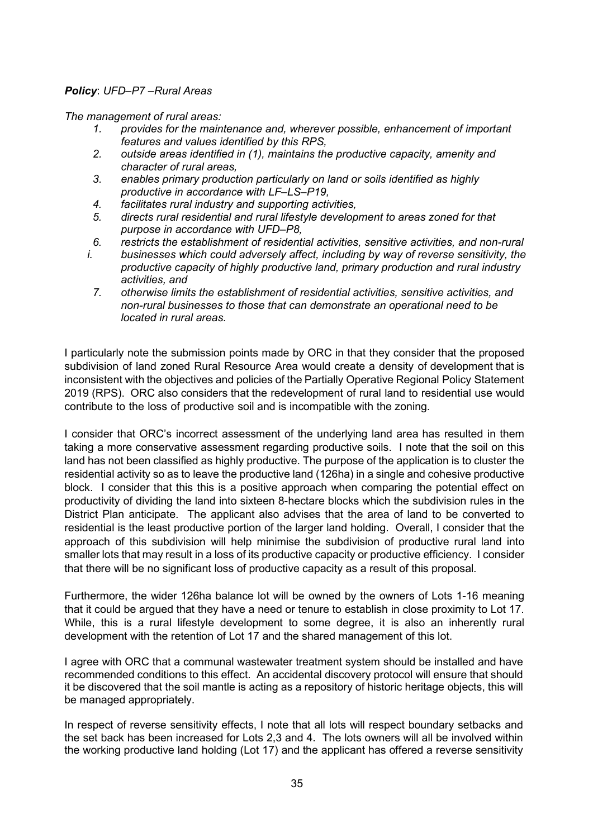# *Policy*: *UFD–P7 –Rural Areas*

*The management of rural areas:*

- *1. provides for the maintenance and, wherever possible, enhancement of important features and values identified by this RPS,*
- *2. outside areas identified in (1), maintains the productive capacity, amenity and character of rural areas,*
- *3. enables primary production particularly on land or soils identified as highly productive in accordance with LF–LS–P19,*
- *4. facilitates rural industry and supporting activities,*
- *5. directs rural residential and rural lifestyle development to areas zoned for that purpose in accordance with UFD–P8,*
- *6. restricts the establishment of residential activities, sensitive activities, and non-rural*
- *i. businesses which could adversely affect, including by way of reverse sensitivity, the productive capacity of highly productive land, primary production and rural industry activities, and*
	- *7. otherwise limits the establishment of residential activities, sensitive activities, and non-rural businesses to those that can demonstrate an operational need to be located in rural areas.*

I particularly note the submission points made by ORC in that they consider that the proposed subdivision of land zoned Rural Resource Area would create a density of development that is inconsistent with the objectives and policies of the Partially Operative Regional Policy Statement 2019 (RPS). ORC also considers that the redevelopment of rural land to residential use would contribute to the loss of productive soil and is incompatible with the zoning.

I consider that ORC's incorrect assessment of the underlying land area has resulted in them taking a more conservative assessment regarding productive soils. I note that the soil on this land has not been classified as highly productive. The purpose of the application is to cluster the residential activity so as to leave the productive land (126ha) in a single and cohesive productive block. I consider that this this is a positive approach when comparing the potential effect on productivity of dividing the land into sixteen 8-hectare blocks which the subdivision rules in the District Plan anticipate. The applicant also advises that the area of land to be converted to residential is the least productive portion of the larger land holding. Overall, I consider that the approach of this subdivision will help minimise the subdivision of productive rural land into smaller lots that may result in a loss of its productive capacity or productive efficiency. I consider that there will be no significant loss of productive capacity as a result of this proposal.

Furthermore, the wider 126ha balance lot will be owned by the owners of Lots 1-16 meaning that it could be argued that they have a need or tenure to establish in close proximity to Lot 17. While, this is a rural lifestyle development to some degree, it is also an inherently rural development with the retention of Lot 17 and the shared management of this lot.

I agree with ORC that a communal wastewater treatment system should be installed and have recommended conditions to this effect. An accidental discovery protocol will ensure that should it be discovered that the soil mantle is acting as a repository of historic heritage objects, this will be managed appropriately.

In respect of reverse sensitivity effects, I note that all lots will respect boundary setbacks and the set back has been increased for Lots 2,3 and 4. The lots owners will all be involved within the working productive land holding (Lot 17) and the applicant has offered a reverse sensitivity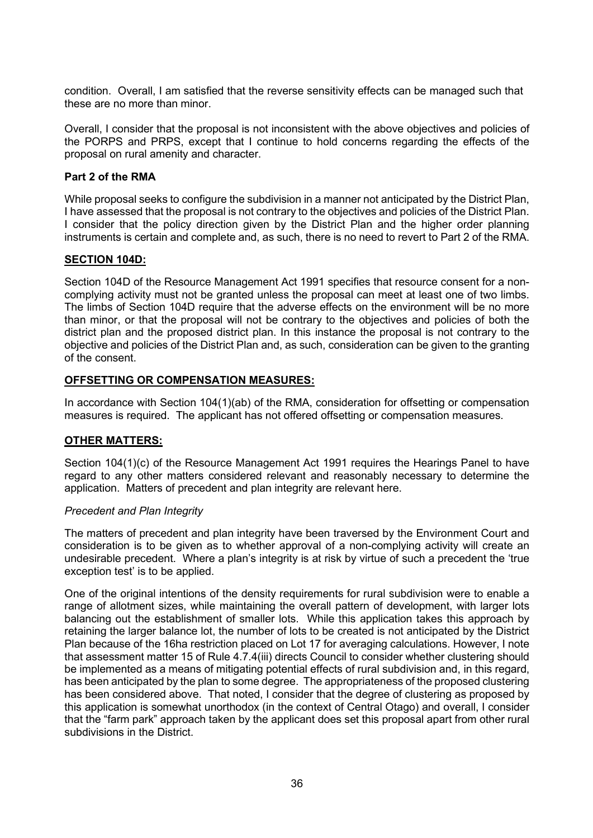condition. Overall, I am satisfied that the reverse sensitivity effects can be managed such that these are no more than minor.

Overall, I consider that the proposal is not inconsistent with the above objectives and policies of the PORPS and PRPS, except that I continue to hold concerns regarding the effects of the proposal on rural amenity and character.

# **Part 2 of the RMA**

While proposal seeks to configure the subdivision in a manner not anticipated by the District Plan, I have assessed that the proposal is not contrary to the objectives and policies of the District Plan. I consider that the policy direction given by the District Plan and the higher order planning instruments is certain and complete and, as such, there is no need to revert to Part 2 of the RMA.

# **SECTION 104D:**

Section 104D of the Resource Management Act 1991 specifies that resource consent for a noncomplying activity must not be granted unless the proposal can meet at least one of two limbs. The limbs of Section 104D require that the adverse effects on the environment will be no more than minor, or that the proposal will not be contrary to the objectives and policies of both the district plan and the proposed district plan. In this instance the proposal is not contrary to the objective and policies of the District Plan and, as such, consideration can be given to the granting of the consent.

# **OFFSETTING OR COMPENSATION MEASURES:**

In accordance with Section 104(1)(ab) of the RMA, consideration for offsetting or compensation measures is required. The applicant has not offered offsetting or compensation measures.

# **OTHER MATTERS:**

Section 104(1)(c) of the Resource Management Act 1991 requires the Hearings Panel to have regard to any other matters considered relevant and reasonably necessary to determine the application. Matters of precedent and plan integrity are relevant here.

# *Precedent and Plan Integrity*

The matters of precedent and plan integrity have been traversed by the Environment Court and consideration is to be given as to whether approval of a non-complying activity will create an undesirable precedent. Where a plan's integrity is at risk by virtue of such a precedent the 'true exception test' is to be applied.

One of the original intentions of the density requirements for rural subdivision were to enable a range of allotment sizes, while maintaining the overall pattern of development, with larger lots balancing out the establishment of smaller lots. While this application takes this approach by retaining the larger balance lot, the number of lots to be created is not anticipated by the District Plan because of the 16ha restriction placed on Lot 17 for averaging calculations. However, I note that assessment matter 15 of Rule 4.7.4(iii) directs Council to consider whether clustering should be implemented as a means of mitigating potential effects of rural subdivision and, in this regard, has been anticipated by the plan to some degree. The appropriateness of the proposed clustering has been considered above. That noted, I consider that the degree of clustering as proposed by this application is somewhat unorthodox (in the context of Central Otago) and overall, I consider that the "farm park" approach taken by the applicant does set this proposal apart from other rural subdivisions in the District.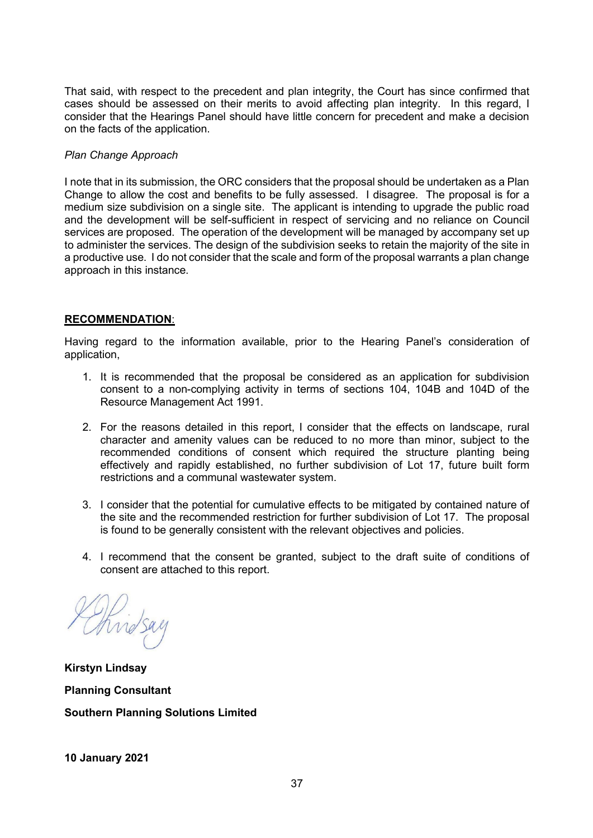That said, with respect to the precedent and plan integrity, the Court has since confirmed that cases should be assessed on their merits to avoid affecting plan integrity. In this regard, I consider that the Hearings Panel should have little concern for precedent and make a decision on the facts of the application.

# *Plan Change Approach*

I note that in its submission, the ORC considers that the proposal should be undertaken as a Plan Change to allow the cost and benefits to be fully assessed. I disagree. The proposal is for a medium size subdivision on a single site. The applicant is intending to upgrade the public road and the development will be self-sufficient in respect of servicing and no reliance on Council services are proposed. The operation of the development will be managed by accompany set up to administer the services. The design of the subdivision seeks to retain the majority of the site in a productive use. I do not consider that the scale and form of the proposal warrants a plan change approach in this instance.

# **RECOMMENDATION**:

Having regard to the information available, prior to the Hearing Panel's consideration of application,

- 1. It is recommended that the proposal be considered as an application for subdivision consent to a non-complying activity in terms of sections 104, 104B and 104D of the Resource Management Act 1991.
- 2. For the reasons detailed in this report, I consider that the effects on landscape, rural character and amenity values can be reduced to no more than minor, subject to the recommended conditions of consent which required the structure planting being effectively and rapidly established, no further subdivision of Lot 17, future built form restrictions and a communal wastewater system.
- 3. I consider that the potential for cumulative effects to be mitigated by contained nature of the site and the recommended restriction for further subdivision of Lot 17. The proposal is found to be generally consistent with the relevant objectives and policies.
- 4. I recommend that the consent be granted, subject to the draft suite of conditions of consent are attached to this report.

no

**Kirstyn Lindsay Planning Consultant Southern Planning Solutions Limited**

**10 January 2021**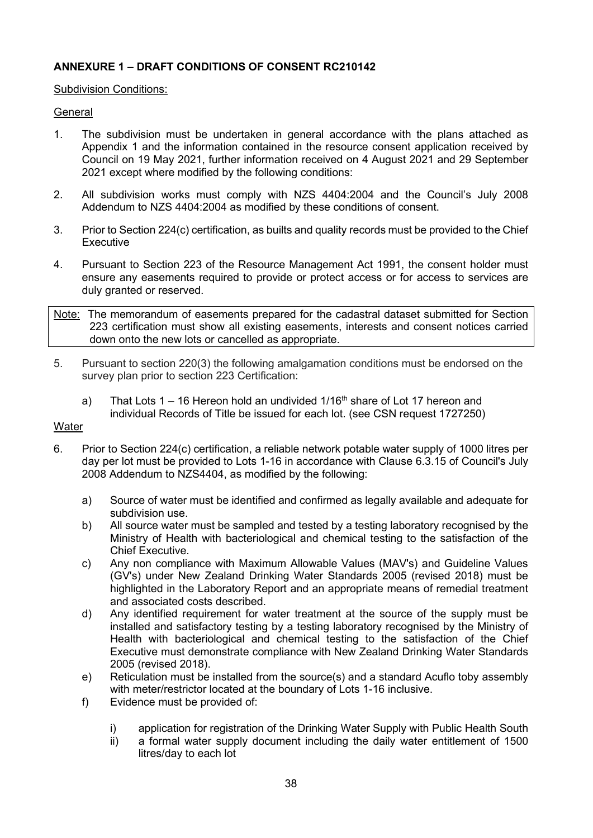# **ANNEXURE 1 – DRAFT CONDITIONS OF CONSENT RC210142**

# Subdivision Conditions:

# **General**

- 1. The subdivision must be undertaken in general accordance with the plans attached as Appendix 1 and the information contained in the resource consent application received by Council on 19 May 2021, further information received on 4 August 2021 and 29 September 2021 except where modified by the following conditions:
- 2. All subdivision works must comply with NZS 4404:2004 and the Council's July 2008 Addendum to NZS 4404:2004 as modified by these conditions of consent.
- 3. Prior to Section 224(c) certification, as builts and quality records must be provided to the Chief Executive
- 4. Pursuant to Section 223 of the Resource Management Act 1991, the consent holder must ensure any easements required to provide or protect access or for access to services are duly granted or reserved.
- Note: The memorandum of easements prepared for the cadastral dataset submitted for Section 223 certification must show all existing easements, interests and consent notices carried down onto the new lots or cancelled as appropriate.
- 5. Pursuant to section 220(3) the following amalgamation conditions must be endorsed on the survey plan prior to section 223 Certification:
	- a) That Lots 1 16 Hereon hold an undivided  $1/16<sup>th</sup>$  share of Lot 17 hereon and individual Records of Title be issued for each lot. (see CSN request 1727250)

# **Water**

- 6. Prior to Section 224(c) certification, a reliable network potable water supply of 1000 litres per day per lot must be provided to Lots 1-16 in accordance with Clause 6.3.15 of Council's July 2008 Addendum to NZS4404, as modified by the following:
	- a) Source of water must be identified and confirmed as legally available and adequate for subdivision use.
	- b) All source water must be sampled and tested by a testing laboratory recognised by the Ministry of Health with bacteriological and chemical testing to the satisfaction of the Chief Executive.
	- c) Any non compliance with Maximum Allowable Values (MAV's) and Guideline Values (GV's) under New Zealand Drinking Water Standards 2005 (revised 2018) must be highlighted in the Laboratory Report and an appropriate means of remedial treatment and associated costs described.
	- d) Any identified requirement for water treatment at the source of the supply must be installed and satisfactory testing by a testing laboratory recognised by the Ministry of Health with bacteriological and chemical testing to the satisfaction of the Chief Executive must demonstrate compliance with New Zealand Drinking Water Standards 2005 (revised 2018).
	- e) Reticulation must be installed from the source(s) and a standard Acuflo toby assembly with meter/restrictor located at the boundary of Lots 1-16 inclusive.
	- f) Evidence must be provided of:
		- i) application for registration of the Drinking Water Supply with Public Health South
		- ii) a formal water supply document including the daily water entitlement of 1500 litres/day to each lot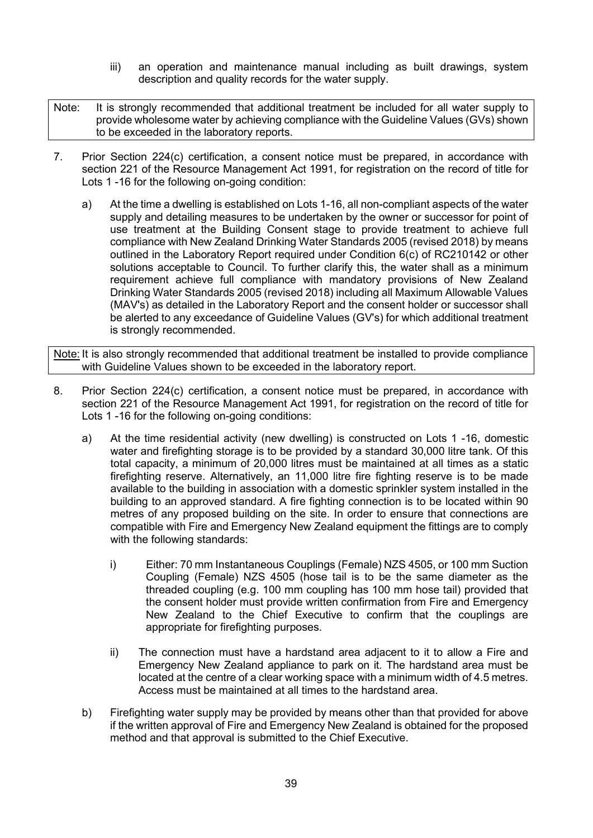- iii) an operation and maintenance manual including as built drawings, system description and quality records for the water supply.
- Note: It is strongly recommended that additional treatment be included for all water supply to provide wholesome water by achieving compliance with the Guideline Values (GVs) shown to be exceeded in the laboratory reports.
- 7. Prior Section 224(c) certification, a consent notice must be prepared, in accordance with section 221 of the Resource Management Act 1991, for registration on the record of title for Lots 1 -16 for the following on-going condition:
	- a) At the time a dwelling is established on Lots 1-16, all non-compliant aspects of the water supply and detailing measures to be undertaken by the owner or successor for point of use treatment at the Building Consent stage to provide treatment to achieve full compliance with New Zealand Drinking Water Standards 2005 (revised 2018) by means outlined in the Laboratory Report required under Condition 6(c) of RC210142 or other solutions acceptable to Council. To further clarify this, the water shall as a minimum requirement achieve full compliance with mandatory provisions of New Zealand Drinking Water Standards 2005 (revised 2018) including all Maximum Allowable Values (MAV's) as detailed in the Laboratory Report and the consent holder or successor shall be alerted to any exceedance of Guideline Values (GV's) for which additional treatment is strongly recommended.

Note: It is also strongly recommended that additional treatment be installed to provide compliance with Guideline Values shown to be exceeded in the laboratory report.

- 8. Prior Section 224(c) certification, a consent notice must be prepared, in accordance with section 221 of the Resource Management Act 1991, for registration on the record of title for Lots 1 -16 for the following on-going conditions:
	- a) At the time residential activity (new dwelling) is constructed on Lots 1 -16, domestic water and firefighting storage is to be provided by a standard 30,000 litre tank. Of this total capacity, a minimum of 20,000 litres must be maintained at all times as a static firefighting reserve. Alternatively, an 11,000 litre fire fighting reserve is to be made available to the building in association with a domestic sprinkler system installed in the building to an approved standard. A fire fighting connection is to be located within 90 metres of any proposed building on the site. In order to ensure that connections are compatible with Fire and Emergency New Zealand equipment the fittings are to comply with the following standards:
		- i) Either: 70 mm Instantaneous Couplings (Female) NZS 4505, or 100 mm Suction Coupling (Female) NZS 4505 (hose tail is to be the same diameter as the threaded coupling (e.g. 100 mm coupling has 100 mm hose tail) provided that the consent holder must provide written confirmation from Fire and Emergency New Zealand to the Chief Executive to confirm that the couplings are appropriate for firefighting purposes.
		- ii) The connection must have a hardstand area adjacent to it to allow a Fire and Emergency New Zealand appliance to park on it. The hardstand area must be located at the centre of a clear working space with a minimum width of 4.5 metres. Access must be maintained at all times to the hardstand area.
	- b) Firefighting water supply may be provided by means other than that provided for above if the written approval of Fire and Emergency New Zealand is obtained for the proposed method and that approval is submitted to the Chief Executive.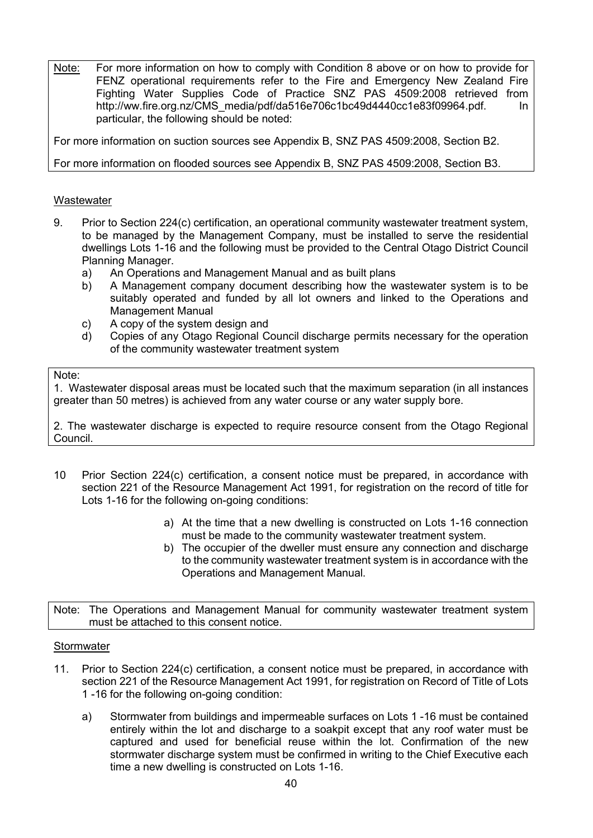Note: For more information on how to comply with Condition 8 above or on how to provide for FENZ operational requirements refer to the Fire and Emergency New Zealand Fire Fighting Water Supplies Code of Practice SNZ PAS 4509:2008 retrieved from http://ww.fire.org.nz/CMS\_media/pdf/da516e706c1bc49d4440cc1e83f09964.pdf. In particular, the following should be noted:

For more information on suction sources see Appendix B, SNZ PAS 4509:2008, Section B2.

For more information on flooded sources see Appendix B, SNZ PAS 4509:2008, Section B3.

# **Wastewater**

- 9. Prior to Section 224(c) certification, an operational community wastewater treatment system, to be managed by the Management Company, must be installed to serve the residential dwellings Lots 1-16 and the following must be provided to the Central Otago District Council Planning Manager.
	- a) An Operations and Management Manual and as built plans
	- b) A Management company document describing how the wastewater system is to be suitably operated and funded by all lot owners and linked to the Operations and Management Manual
	- c) A copy of the system design and
	- d) Copies of any Otago Regional Council discharge permits necessary for the operation of the community wastewater treatment system

#### Note:

1. Wastewater disposal areas must be located such that the maximum separation (in all instances greater than 50 metres) is achieved from any water course or any water supply bore.

2. The wastewater discharge is expected to require resource consent from the Otago Regional Council.

- 10 Prior Section 224(c) certification, a consent notice must be prepared, in accordance with section 221 of the Resource Management Act 1991, for registration on the record of title for Lots 1-16 for the following on-going conditions:
	- a) At the time that a new dwelling is constructed on Lots 1-16 connection must be made to the community wastewater treatment system.
	- b) The occupier of the dweller must ensure any connection and discharge to the community wastewater treatment system is in accordance with the Operations and Management Manual.

Note: The Operations and Management Manual for community wastewater treatment system must be attached to this consent notice.

#### **Stormwater**

- 11. Prior to Section 224(c) certification, a consent notice must be prepared, in accordance with section 221 of the Resource Management Act 1991, for registration on Record of Title of Lots 1 -16 for the following on-going condition:
	- a) Stormwater from buildings and impermeable surfaces on Lots 1 -16 must be contained entirely within the lot and discharge to a soakpit except that any roof water must be captured and used for beneficial reuse within the lot. Confirmation of the new stormwater discharge system must be confirmed in writing to the Chief Executive each time a new dwelling is constructed on Lots 1-16.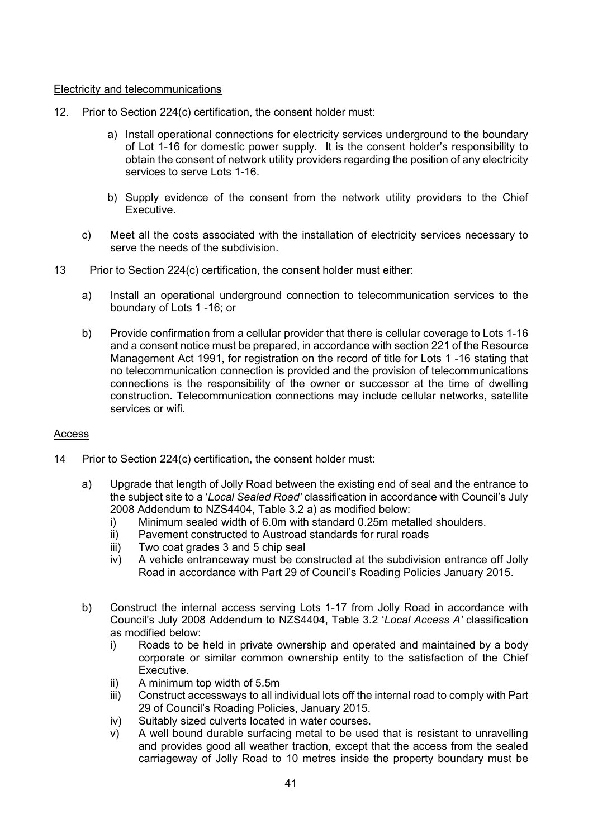# Electricity and telecommunications

- 12. Prior to Section 224(c) certification, the consent holder must:
	- a) Install operational connections for electricity services underground to the boundary of Lot 1-16 for domestic power supply. It is the consent holder's responsibility to obtain the consent of network utility providers regarding the position of any electricity services to serve Lots 1-16.
	- b) Supply evidence of the consent from the network utility providers to the Chief Executive.
	- c) Meet all the costs associated with the installation of electricity services necessary to serve the needs of the subdivision.
- 13 Prior to Section 224(c) certification, the consent holder must either:
	- a) Install an operational underground connection to telecommunication services to the boundary of Lots 1 -16; or
	- b) Provide confirmation from a cellular provider that there is cellular coverage to Lots 1-16 and a consent notice must be prepared, in accordance with section 221 of the Resource Management Act 1991, for registration on the record of title for Lots 1 -16 stating that no telecommunication connection is provided and the provision of telecommunications connections is the responsibility of the owner or successor at the time of dwelling construction. Telecommunication connections may include cellular networks, satellite services or wifi.

# **Access**

- 14 Prior to Section 224(c) certification, the consent holder must:
	- a) Upgrade that length of Jolly Road between the existing end of seal and the entrance to the subject site to a '*Local Sealed Road'* classification in accordance with Council's July 2008 Addendum to NZS4404, Table 3.2 a) as modified below:
		- i) Minimum sealed width of 6.0m with standard 0.25m metalled shoulders.
		- ii) Pavement constructed to Austroad standards for rural roads
		- iii) Two coat grades 3 and 5 chip seal
		- iv) A vehicle entranceway must be constructed at the subdivision entrance off Jolly Road in accordance with Part 29 of Council's Roading Policies January 2015.
	- b) Construct the internal access serving Lots 1-17 from Jolly Road in accordance with Council's July 2008 Addendum to NZS4404, Table 3.2 '*Local Access A'* classification as modified below:
		- i) Roads to be held in private ownership and operated and maintained by a body corporate or similar common ownership entity to the satisfaction of the Chief Executive.
		- ii) A minimum top width of 5.5m
		- iii) Construct accessways to all individual lots off the internal road to comply with Part 29 of Council's Roading Policies, January 2015.
		- iv) Suitably sized culverts located in water courses.
		- v) A well bound durable surfacing metal to be used that is resistant to unravelling and provides good all weather traction, except that the access from the sealed carriageway of Jolly Road to 10 metres inside the property boundary must be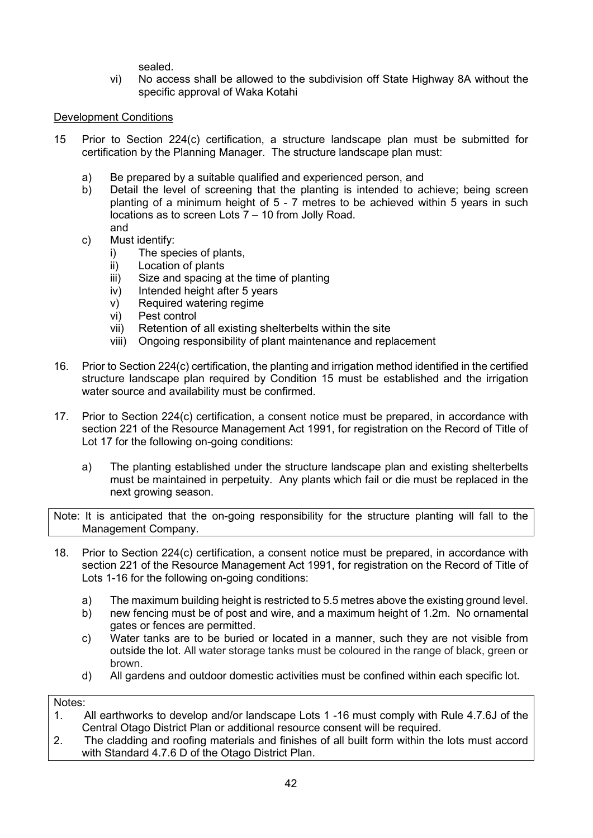sealed.

vi) No access shall be allowed to the subdivision off State Highway 8A without the specific approval of Waka Kotahi

# Development Conditions

- 15 Prior to Section 224(c) certification, a structure landscape plan must be submitted for certification by the Planning Manager. The structure landscape plan must:
	- a) Be prepared by a suitable qualified and experienced person, and
	- b) Detail the level of screening that the planting is intended to achieve; being screen planting of a minimum height of 5 - 7 metres to be achieved within 5 years in such locations as to screen Lots 7 – 10 from Jolly Road. and
	- c) Must identify:
		- i) The species of plants,
		- ii) Location of plants
		- iii) Size and spacing at the time of planting
		- iv) Intended height after 5 years
		- v) Required watering regime
		- vi) Pest control
		- vii) Retention of all existing shelterbelts within the site
		- viii) Ongoing responsibility of plant maintenance and replacement
- 16. Prior to Section 224(c) certification, the planting and irrigation method identified in the certified structure landscape plan required by Condition 15 must be established and the irrigation water source and availability must be confirmed.
- 17. Prior to Section 224(c) certification, a consent notice must be prepared, in accordance with section 221 of the Resource Management Act 1991, for registration on the Record of Title of Lot 17 for the following on-going conditions:
	- a) The planting established under the structure landscape plan and existing shelterbelts must be maintained in perpetuity. Any plants which fail or die must be replaced in the next growing season.

Note: It is anticipated that the on-going responsibility for the structure planting will fall to the Management Company.

- 18. Prior to Section 224(c) certification, a consent notice must be prepared, in accordance with section 221 of the Resource Management Act 1991, for registration on the Record of Title of Lots 1-16 for the following on-going conditions:
	- a) The maximum building height is restricted to 5.5 metres above the existing ground level.
	- b) new fencing must be of post and wire, and a maximum height of 1.2m. No ornamental gates or fences are permitted.
	- c) Water tanks are to be buried or located in a manner, such they are not visible from outside the lot. All water storage tanks must be coloured in the range of black, green or brown.
	- d) All gardens and outdoor domestic activities must be confined within each specific lot.

Notes:

- 1. All earthworks to develop and/or landscape Lots 1 -16 must comply with Rule 4.7.6J of the Central Otago District Plan or additional resource consent will be required.
- 2. The cladding and roofing materials and finishes of all built form within the lots must accord with Standard 4.7.6 D of the Otago District Plan.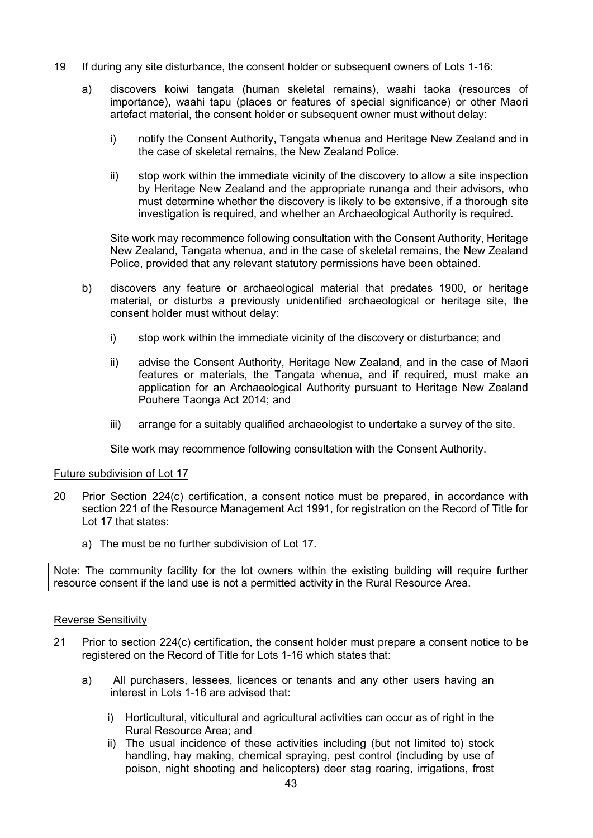- 19 If during any site disturbance, the consent holder or subsequent owners of Lots 1-16:
	- a) discovers koiwi tangata (human skeletal remains), waahi taoka (resources of importance), waahi tapu (places or features of special significance) or other Maori artefact material, the consent holder or subsequent owner must without delay:
		- i) notify the Consent Authority, Tangata whenua and Heritage New Zealand and in the case of skeletal remains, the New Zealand Police.
		- ii) stop work within the immediate vicinity of the discovery to allow a site inspection by Heritage New Zealand and the appropriate runanga and their advisors, who must determine whether the discovery is likely to be extensive, if a thorough site investigation is required, and whether an Archaeological Authority is required.

Site work may recommence following consultation with the Consent Authority, Heritage New Zealand, Tangata whenua, and in the case of skeletal remains, the New Zealand Police, provided that any relevant statutory permissions have been obtained.

- b) discovers any feature or archaeological material that predates 1900, or heritage material, or disturbs a previously unidentified archaeological or heritage site, the consent holder must without delay:
	- i) stop work within the immediate vicinity of the discovery or disturbance; and
	- ii) advise the Consent Authority, Heritage New Zealand, and in the case of Maori features or materials, the Tangata whenua, and if required, must make an application for an Archaeological Authority pursuant to Heritage New Zealand Pouhere Taonga Act 2014; and
	- iii) arrange for a suitably qualified archaeologist to undertake a survey of the site.

Site work may recommence following consultation with the Consent Authority.

#### Future subdivision of Lot 17

- 20 Prior Section 224(c) certification, a consent notice must be prepared, in accordance with section 221 of the Resource Management Act 1991, for registration on the Record of Title for Lot 17 that states:
	- a) The must be no further subdivision of Lot 17.

Note: The community facility for the lot owners within the existing building will require further resource consent if the land use is not a permitted activity in the Rural Resource Area.

#### Reverse Sensitivity

- 21 Prior to section 224(c) certification, the consent holder must prepare a consent notice to be registered on the Record of Title for Lots 1-16 which states that:
	- a) All purchasers, lessees, licences or tenants and any other users having an interest in Lots 1-16 are advised that:
		- i) Horticultural, viticultural and agricultural activities can occur as of right in the Rural Resource Area; and
		- ii) The usual incidence of these activities including (but not limited to) stock handling, hay making, chemical spraying, pest control (including by use of poison, night shooting and helicopters) deer stag roaring, irrigations, frost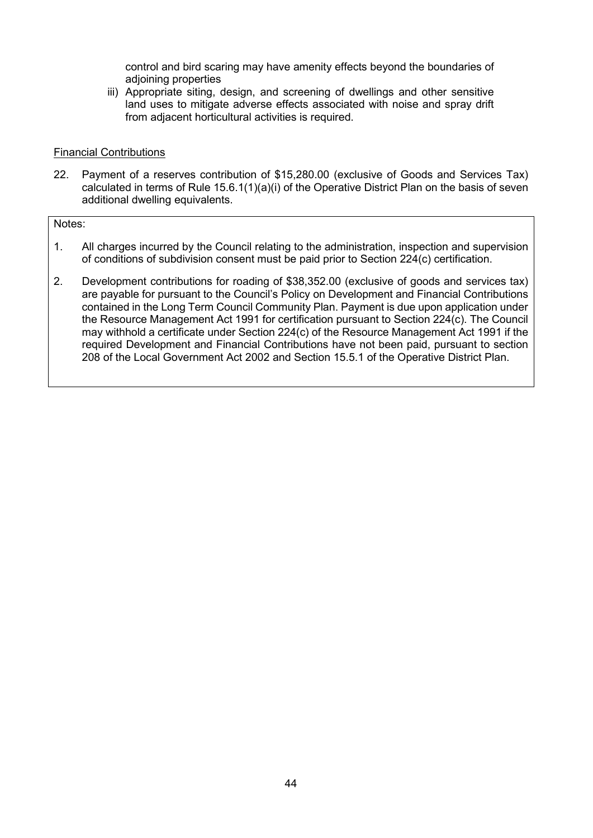control and bird scaring may have amenity effects beyond the boundaries of adjoining properties

iii) Appropriate siting, design, and screening of dwellings and other sensitive land uses to mitigate adverse effects associated with noise and spray drift from adjacent horticultural activities is required.

### Financial Contributions

22. Payment of a reserves contribution of \$15,280.00 (exclusive of Goods and Services Tax) calculated in terms of Rule 15.6.1(1)(a)(i) of the Operative District Plan on the basis of seven additional dwelling equivalents.

Notes:

- 1. All charges incurred by the Council relating to the administration, inspection and supervision of conditions of subdivision consent must be paid prior to Section 224(c) certification.
- 2. Development contributions for roading of \$38,352.00 (exclusive of goods and services tax) are payable for pursuant to the Council's Policy on Development and Financial Contributions contained in the Long Term Council Community Plan. Payment is due upon application under the Resource Management Act 1991 for certification pursuant to Section 224(c). The Council may withhold a certificate under Section 224(c) of the Resource Management Act 1991 if the required Development and Financial Contributions have not been paid, pursuant to section 208 of the Local Government Act 2002 and Section 15.5.1 of the Operative District Plan.